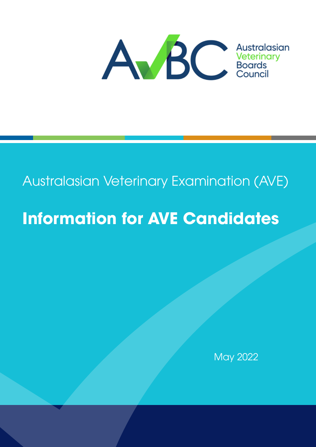

## Australasian Veterinary Examination (AVE)

# **Information for AVE Candidates**

May 2022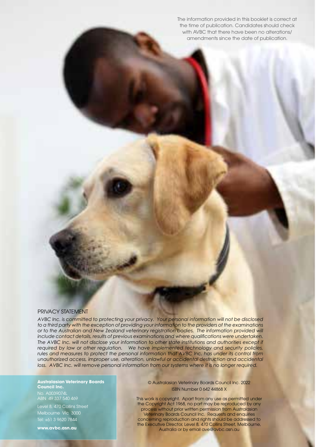The information provided in this booklet is correct at the time of publication. Candidates should check with AVBC that there have been no alterations/ amendments since the date of publication.

#### PRIVACY STATEMENT

*AVBC Inc. is committed to protecting your privacy. Your personal information will not be disclosed to a third party with the exception of providing your information to the providers of the examinations*  or to the Australian and New Zealand veterinary registration bodies. The information provided will *include contact details, results of previous examinations and where qualifications were undertaken.*  The AVBC Inc. will not disclose your information to other state institutions and authorities except if *required by law or other regulation. We have implemented technology and security policies, rules and measures to protect the personal information that AVBC Inc. has under its control from*  unauthorized access, improper use, alteration, unlawful or accidental destruction and accidental *loss. AVBC Inc. will remove personal information from our systems where it is no longer required.*

**Australasian Veterinary Boards Council Inc.** No. A0039074L ABN 49 337 540 469

Level 8, 470 Collins Street Melbourne Vic 3000 Tel: +61 3 9620 7844

**www.avbc.asn.au**

#### © Australasian Veterinary Boards Council Inc. 2022 ISBN Number 0 642 44868 X

This work is copyright. Apart from any use as permitted under the Copyright Act 1968, no part may be reproduced by any process without prior written permission from Australasian Veterinary Boards Council Inc. Requests and enquiries concerning reproduction and rights should be addressed to the Executive Director, Level 8, 470 Collins Street, Melbourne, Australia or by email ave@avbc.asn.au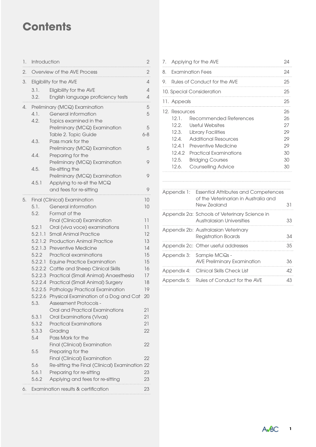## **Contents**

| 1. | Introduction       |                                                                            |          |
|----|--------------------|----------------------------------------------------------------------------|----------|
| 2. |                    | Overview of the AVE Process                                                | 2        |
| 3. |                    | Eligibility for the AVE                                                    | 4        |
|    | 3.1.               | Eligibility for the AVE                                                    | 4        |
|    | 3.2.               | English language proficiency tests                                         | 4        |
| 4. |                    | Preliminary (MCQ) Examination                                              | 5        |
|    | 4.1.               | General information                                                        | 5        |
|    | 4.2.               | Topics examined in the                                                     |          |
|    |                    | Preliminary (MCQ) Examination                                              | 5        |
|    |                    | Table 2. Topic Guide                                                       | $6 - 8$  |
|    | 4.3.               | Pass mark for the                                                          |          |
|    |                    | Preliminary (MCQ) Examination                                              | 5        |
|    | 4.4.               | Preparing for the                                                          |          |
|    |                    | Preliminary (MCQ) Examination                                              | 9        |
|    | 4.5.               | Re-sitting the                                                             |          |
|    |                    | Preliminary (MCQ) Examination                                              | 9        |
|    | 4.5.1              | Applying to re-sit the MCQ                                                 | 9        |
|    |                    | and fees for re-sitting                                                    |          |
| 5. |                    | Final (Clinical) Examination                                               | 10       |
|    | 5.1.               | General information                                                        | 10       |
|    | 5.2.               | Format of the                                                              |          |
|    |                    | Final (Clinical) Examination                                               | 11       |
|    | 5.2.1              | Oral (viva voce) examinations                                              | 11       |
|    | 5.2.1.1<br>5.2.1.2 | <b>Small Animal Practice</b><br><b>Production Animal Practice</b>          | 12<br>13 |
|    | 5.2.1.3            | <b>Preventive Medicine</b>                                                 | 14       |
|    | 5.2.2              | Practical examinations                                                     | 15       |
|    | 5.2.2.1            | <b>Equine Practice Examination</b>                                         | 15       |
|    | 5.2.2.2            | Cattle and Sheep Clinical Skills                                           | 16       |
|    | 5.2.2.3            | Practical (Small Animal) Anaesthesia                                       | 17       |
|    | 5.2.2.4            | Practical (Small Animal) Surgery                                           | 18       |
|    | 5.2.2.5            | Pathology Practical Examination                                            | 19       |
|    | 5.2.2.6            | Physical Examination of a Dog and Cat                                      | 20       |
|    | 5.3.               | <b>Assessment Protocols -</b>                                              |          |
|    |                    | Oral and Practical Examinations                                            | 21       |
|    | 5.3.1              | Oral Examinations (Vivas)                                                  | 21       |
|    | 5.3.2              | <b>Practical Examinations</b>                                              | 21       |
|    | 5.3.3              | Grading                                                                    | 22       |
|    | 5.4                | Pass Mark for the                                                          |          |
|    |                    | Final (Clinical) Examination                                               | 22       |
|    | 5.5                | Preparing for the                                                          |          |
|    |                    | Final (Clinical) Examination                                               | 22       |
|    | 5.6<br>5.6.1       | Re-sitting the Final (Clinical) Examination 22<br>Preparing for re-sitting | 23       |
|    | 5.6.2              | Applying and fees for re-sitting                                           | 23       |
|    |                    |                                                                            |          |
| 6. |                    | Examination results & certification                                        | 23       |

| $\sqrt{2}$                | Applying for the AVE |                              |    |
|---------------------------|----------------------|------------------------------|----|
| 8.                        |                      | Examination Fees             | 24 |
| 9.                        |                      | Rules of Conduct for the AVE | 25 |
| 10. Special Consideration |                      |                              | 25 |
|                           | 11. Appeals          |                              | 25 |
|                           | 12. Resources        |                              | 26 |
|                           | 12.1.                | Recommended References       | 26 |
|                           | 12.2.                | 27                           |    |
|                           |                      | 12.3. Library Facilities     | 29 |
|                           | 12 4                 | <b>Additional Resources</b>  | 29 |
|                           | 12.4.1               | Preventive Medicine          | 29 |
|                           | 12.4.2               | Practical Examinations       | 30 |
|                           | 12.5.                | <b>Bridging Courses</b>      | 3Ω |
|                           | 12.6.                | Counselling Advice           | 3Ω |
|                           |                      |                              |    |

| Appendix 1: Essential Attributes and Competences<br>of the Veterinarian in Australia and<br>New Zealand | 31  |
|---------------------------------------------------------------------------------------------------------|-----|
| Appendix 2a: Schools of Veterinary Science in<br>Australasian Universities                              | 33  |
| Appendix 2b: Australasian Veterinary<br><b>Registration Boards</b>                                      | 34  |
| Appendix 2c: Other useful addresses                                                                     | 35  |
| Appendix 3: Sample MCQs -<br><b>AVE Preliminary Examination</b>                                         | 36. |
| Appendix 4: Clinical Skills Check List                                                                  | 42  |
| Appendix 5: Rules of Conduct for the AVE                                                                | 43  |

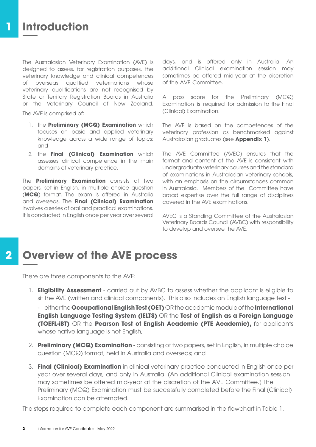The Australasian Veterinary Examination (AVE) is designed to assess, for registration purposes, the veterinary knowledge and clinical competences of overseas qualified veterinarians whose veterinary qualifications are not recognised by State or Territory Registration Boards in Australia or the Veterinary Council of New Zealand.

The AVE is comprised of:

- 1. the **Preliminary (MCQ) Examination** which focuses on basic and applied veterinary knowledge across a wide range of topics; and
- 2. the **Final (Clinical) Examination** which assesses clinical competence in the main domains of veterinary practice.

The **Preliminary Examination** consists of two papers, set in English, in multiple choice question (**MCQ**) format. The exam is offered in Australia and overseas. The **Final (Clinical) Examination**  involves a series of oral and practical examinations. It is conducted in English once per year over several days, and is offered only in Australia. An additional Clinical examination session may sometimes be offered mid-year at the discretion of the AVE Committee.

A pass score for the Preliminary (MCQ) Examination is required for admission to the Final (Clinical) Examination.

The AVE is based on the competences of the veterinary profession as benchmarked against Australasian graduates (see **Appendix 1**).

The AVE Committee (AVEC) ensures that the format and content of the AVE is consistent with undergraduate veterinary courses and the standard of examinations in Australasian veterinary schools, with an emphasis on the circumstances common in Australasia. Members of the Committee have broad expertise over the full range of disciplines covered in the AVE examinations.

AVEC is a Standing Committee of the Australasian Veterinary Boards Council (AVBC) with responsibility to develop and oversee the AVE.

## **Overview of the AVE process 2**

There are three components to the AVE:

- 1. **Eligibility Assessment** carried out by AVBC to assess whether the applicant is eligible to sit the AVE (written and clinical components). This also includes an English language test -
	- either the **Occupational English Test (OET)** OR the academic module of the **International English Language Testing System (IELTS)** OR the **Test of English as a Foreign Language (TOEFL-iBT)** OR the **Pearson Test of English Academic (PTE Academic),** for applicants whose native language is not English;
- 2. **Preliminary (MCQ) Examination** consisting of two papers, set in English, in multiple choice question (MCQ) format, held in Australia and overseas; and
- 3. **Final (Clinical) Examination** in clinical veterinary practice conducted in English once per year over several days, and only in Australia. (An additional Clinical examination session may sometimes be offered mid-year at the discretion of the AVE Committee.) The Preliminary (MCQ) Examination must be successfully completed before the Final (Clinical) Examination can be attempted.

The steps required to complete each component are summarised in the flowchart in Table 1.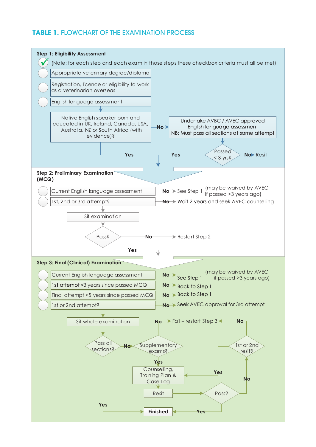## **TABLE 1. FLOWCHART OF THE EXAMINATION PROCESS**

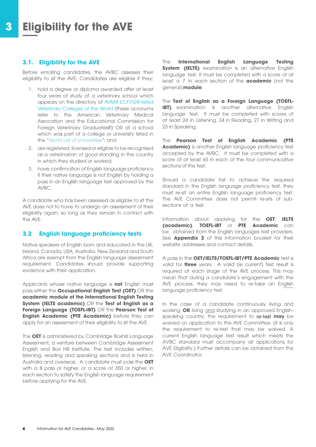## **3.1. Eligibility for the AVE**

Before enrolling candidates, the AVBC assesses their eligibility to sit the AVE. Candidates are eligible if they:

- 1. hold a degree or diploma awarded after at least four years of study at a veterinary school which appears on the directory of [AVMA ECFVG®-listed](https://www.avma.org/education/ecfvg/directory-avma-listed-veterinary-colleges-world) [Veterinary Colleges of the World](https://www.avma.org/education/ecfvg/directory-avma-listed-veterinary-colleges-world) (these acronyms refer to the American Veterinary Medical Assocation and the Educational Commission for Foreign Veterinary Graduates®) OR at a school which was part of a college or university listed in the ["World List of Universities](https://univ.cc/world.php)"; and
- 2. are registered, licensed or eligible to be recognised as a veterinarian of good standing in the country in which they studied or worked;
- 3. have confirmation of English language proficiency if their native language is not English by holding a pass in an English language test approved by the AVBC.

A candidate who has been assessed as eligible to sit the AVE does not to have to undergo an assessment of their eligibility again, so long as they remain in contact with the AVE.

## **3.2 English language proficiency tests**

Native speakers of English born and educated in the UK, Ireland, Canada, USA, Australia, New Zealand and South Africa are exempt from the English language assessment requirement. Candidates should provide supporting evidence with their application.

Applicants whose native language is **not** English must pass either the **Occupational English Test (OET)** OR the **academic module of the International English Testing System (IELTS academic)** OR the **Test of English as a Foreign Language (TOEFL-iBT)** OR the **Pearson Test of English Academic (PTE Academic)** before they can apply for an assessment of their eligibility to sit the AVE.

The **OET** is administered by Cambridge Boxhill Language Assessment, a venture between Cambridge Assessment English and Box Hill Institute. The test includes written, listening, reading and speaking sections and is held in Australia and overseas. A candidate must pass the **OET**  with a B pass or higher, or a score of 350 or higher, in each section to satisfy the English language requirement before applying for the AVE.

The **International English Language Testing System (IELTS)** examination is an alternative English language test. It must be completed with a score of at least a 7 in each section of the **academic** (not the general) **module**.

The **Test of English as a Foreign Language (TOEFLiBT)** examination is another alternative English language test. It must be completed with scores of at least 24 in Listening, 24 in Reading, 27 in Writing and 23 in Speaking.

The **Pearson Test of English Academic (PTE Academic)** is another English language proficiency test accepted by the AVBC. It must be completed with a score of at least 65 in each of the four communicative sections of the test.

Should a candidate fail to achieve the required standard in the English language proficiency test, they must re-sit an entire English language proficiency test. The AVE Committee does not permit re-sits of subsections of a test.

Information about applying for the **OET**, **IELTS (academic)**, **TOEFL-iBT** or **PTE Academic** can be obtained from the English languages test providers. See **Appendix 2** of this information booklet for their website addresses and contact details.

A pass in the **OET/IELTS/TOEFL-iBT/PTE Academic** test is valid for **three** years. A valid (ie current) test result is required at each stage of the AVE process. This may mean that during a candidate's engagement with the AVE process, they may need to re-take an English language proficiency test.

In the case of a candidate continuously living and working **OR** living and studying in an approved Englishspeaking country, the requirement to re-test **may** be waived on application to the AVE Committee. (it is only the requirement to re-test that may be waived. A current English language test result which meets the AVBC standard must accompany all applications for AVE Eligibility.) Further details can be obtained from the AVE Coordinator.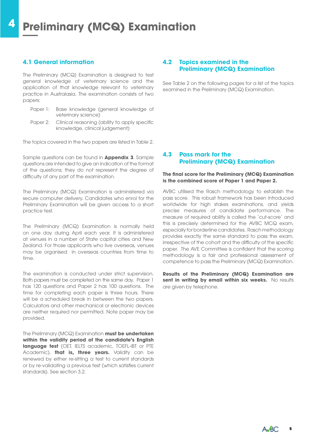## **4.1 General information**

The Preliminary (MCQ) Examination is designed to test general knowledge of veterinary science and the application of that knowledge relevant to veterinary practice in Australasia. The examination consists of two papers:

- Paper 1: Base knowledge (general knowledge of veterinary science)
- Paper 2: Clinical reasoning (ability to apply specific knowledge, clinical judgement)

The topics covered in the two papers are listed in Table 2.

Sample questions can be found in **Appendix 3**. Sample questions are intended to give an indication of the format of the questions; they do not represent the degree of difficulty of any part of the examination.

The Preliminary (MCQ) Examination is administered via secure computer delivery. Candidates who enrol for the Preliminary Examination will be given access to a short practice test.

The Preliminary (MCQ) Examination is normally held on one day during April each year. It is administered at venues in a number of State capital cities and New Zealand. For those applicants who live overseas, venues may be organised in overseas countries from time to time.

The examination is conducted under strict supervision. Both papers must be completed on the same day. Paper 1 has 120 questions and Paper 2 has 100 questions. The time for completing each paper is three hours. There will be a scheduled break in between the two papers. Calculators and other mechanical or electronic devices are neither required nor permitted. Note paper may be provided.

The Preliminary (MCQ) Examination **must be undertaken within the validity period of the candidate's English language test** (OET, IELTS academic, TOEFL-iBT or PTE Academic), **that is, three years.** Validity can be renewed by either re-sitting a test to current standards or by re-validating a previous test (which satisfies current standards). See section 3.2.

## **4.2 Topics examined in the Preliminary (MCQ) Examination**

See Table 2 on the following pages for a list of the topics examined in the Preliminary (MCQ) Examination.

### **4.3 Pass mark for the Preliminary (MCQ) Examination**

#### **The final score for the Preliminary (MCQ) Examination is the combined score of Paper 1 and Paper 2.**

AVBC utilised the Rasch methodology to establish the pass score. This robust framework has been introduced worldwide for high stakes examinations, and yields precise measures of candidate performance. The measure of required ability is called the 'cut-score' and this is precisely determined for the AVBC MCQ exam, especially for borderline candidates. Rasch methodology provides exactly the same standard to pass the exam, irrespective of the cohort and the difficulty of the specific paper. The AVE Committee is confident that the scoring methodology is a fair and professional assessment of competence to pass the Preliminary (MCQ) Examination.

**Results of the Preliminary (MCQ) Examination are sent in writing by email within six weeks.** No results are given by telephone.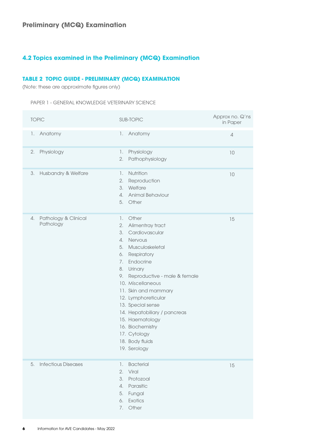## **4.2 Topics examined in the Preliminary (MCQ) Examination**

## **TABLE 2 TOPIC GUIDE - PRELIMINARY (MCQ) EXAMINATION**

(Note: these are approximate figures only)

| <b>PAPER 1 - GENERAL KNOWLEDGE VETERINARY SCIENCE</b> |
|-------------------------------------------------------|
|                                                       |

|    | <b>TOPIC</b>                      |                                                    | <b>SUB-TOPIC</b>                                                                                                                                                                                                                                                                                                                                                    | Approx no. Q'ns<br>in Paper |
|----|-----------------------------------|----------------------------------------------------|---------------------------------------------------------------------------------------------------------------------------------------------------------------------------------------------------------------------------------------------------------------------------------------------------------------------------------------------------------------------|-----------------------------|
| 1. | Anatomy                           | 1.                                                 | Anatomy                                                                                                                                                                                                                                                                                                                                                             | $\varDelta$                 |
| 2. | Physiology                        | 1.<br>2.                                           | Physiology<br>Pathophysiology                                                                                                                                                                                                                                                                                                                                       | 10                          |
| 3. | Husbandry & Welfare               | 1.<br>2.<br>3.<br>4.<br>5.                         | Nutrition<br>Reproduction<br>Welfare<br>Animal Behaviour<br>Other                                                                                                                                                                                                                                                                                                   | 10                          |
| 4. | Pathology & Clinical<br>Pathology | 1.<br>2.<br>3.<br>4.<br>5.<br>6.<br>7.<br>8.<br>9. | Other<br>Alimentray tract<br>Cardiovascular<br>Nervous<br>Musculoskeletal<br>Respiratory<br>Endocrine<br>Urinary<br>Reproductive - male & female<br>10. Miscellaneous<br>11. Skin and mammary<br>12. Lymphoreticular<br>13. Special sense<br>14. Hepatobiliary / pancreas<br>15. Haematology<br>16. Biochemistry<br>17. Cytology<br>18. Body fluids<br>19. Serology | 15                          |
| 5. | <b>Infectious Diseases</b>        | 1.<br>2.<br>3.<br>4.<br>5.<br>6.<br>7.             | <b>Bacterial</b><br>Viral<br>Protozoal<br>Parasitic<br>Fungal<br>Exotics<br>Other                                                                                                                                                                                                                                                                                   | 15                          |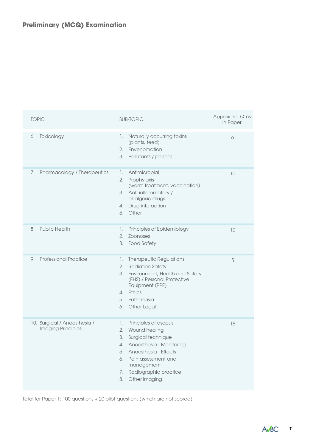| <b>TOPIC</b>                                       | <b>SUB-TOPIC</b>                                                                                                                                                                                                                                 | Approx no. Q'ns<br>in Paper |
|----------------------------------------------------|--------------------------------------------------------------------------------------------------------------------------------------------------------------------------------------------------------------------------------------------------|-----------------------------|
| Toxicology<br>6.                                   | Naturally occurring toxins<br>1.<br>(plants, feed)<br>Envenomation<br>2.<br>3.<br>Pollutants / poisons                                                                                                                                           | 6                           |
| Pharmacology / Therapeutics<br>7.                  | Antimicrobial<br>1.<br>Prophylaxis<br>2.<br>(worm treatment, vaccination)<br>Anti-inflammatory /<br>3.<br>analgesic drugs<br>Drug interaction<br>4.<br>Other<br>5.                                                                               | 10                          |
| <b>Public Health</b><br>8.                         | Principles of Epidemiology<br>1.<br>2.<br><b>Zoonoses</b><br>3.<br><b>Food Safety</b>                                                                                                                                                            | 10                          |
| <b>Professional Practice</b><br>9.                 | 1.<br><b>Therapeutic Regulations</b><br>2.<br><b>Radiation Safety</b><br>3.<br>Environment, Health and Safety<br>(EHS) / Personal Protective<br>Equipment (PPE)<br>Ethics<br>4.<br>5.<br>Euthanasia<br>Other Legal<br>6.                         | 5                           |
| 10. Surgical / Anaesthesia /<br>Imaging Principles | Principles of asepsis<br>1.<br>2.<br>Wound healing<br>Surgical technique<br>3.<br>Anaesthesia - Monitoring<br>4.<br>Anaesthesia - Effects<br>5.<br>Pain assessment and<br>6.<br>management<br>Radiographic practice<br>7.<br>Other imaging<br>8. | 15                          |

Total for Paper 1: 100 questions + 20 pilot questions (which are not scored)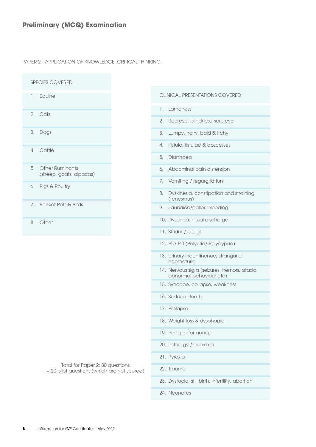PAPER 2 - APPLICATION OF KNOWLEDGE, CRITICAL THINKING

| <b>SPECIES COVERED</b>                                                         |  |                                                                          |
|--------------------------------------------------------------------------------|--|--------------------------------------------------------------------------|
| Equine<br>1.                                                                   |  | <b>CLINICAL PRESENTATIONS COVERED</b>                                    |
| Cats<br>2.                                                                     |  | 1.<br>Lameness                                                           |
|                                                                                |  | Red eye, blindness, sore eye<br>2.                                       |
| 3.<br>Dogs                                                                     |  | 3.<br>Lumpy, hairy, bald & itchy                                         |
| Cattle<br>4.                                                                   |  | Fistula, fistulae & abscesses<br>4.                                      |
|                                                                                |  | Diarrhoea<br>5.                                                          |
| <b>Other Ruminants</b><br>5.<br>(sheep, goats, alpacas)                        |  | Abdominal pain distension<br>6.                                          |
| Pigs & Poultry<br>6.                                                           |  | Vomiting / regurgitation<br>7.                                           |
|                                                                                |  | Dyskinesia, constipation and straining<br>8.<br>(tenesmus)               |
| Pocket Pets & Birds<br>7.                                                      |  | 9. Jaundice/pallor, bleeding                                             |
| Other<br>8.                                                                    |  | 10. Dyspnea, nasal discharge                                             |
|                                                                                |  | 11. Stridor / cough                                                      |
|                                                                                |  | 12. PU/ PD (Polyuria/ Polydypsia)                                        |
|                                                                                |  | 13. Urinary incontinence, stranguria,<br>haematuria                      |
|                                                                                |  | 14. Nervous signs (seizures, tremors, ataxia,<br>abnormal behaviour etc) |
|                                                                                |  | 15. Syncope, collapse, weakness                                          |
|                                                                                |  | 16. Sudden death                                                         |
|                                                                                |  | 17. Prolapse                                                             |
|                                                                                |  | 18. Weight loss & dysphagia                                              |
|                                                                                |  | 19. Poor performance                                                     |
|                                                                                |  | 20. Lethargy / anorexia                                                  |
| Total for Paper 2: 80 questions<br>+ 20 pilot questions (which are not scored) |  | 21. Pyrexia                                                              |
|                                                                                |  | 22. Trauma                                                               |
|                                                                                |  | 23. Dystocia, still birth, infertility, abortion                         |
|                                                                                |  | 24. Neonates                                                             |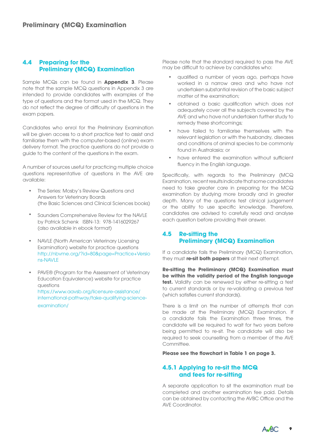## **4.4 Preparing for the Preliminary (MCQ) Examination**

Sample MCQs can be found in **Appendix 3**. Please note that the sample MCQ questions in Appendix 3 are intended to provide candidates with examples of the type of questions and the format used in the MCQ. They do not reflect the degree of difficulty of questions in the exam papers.

Candidates who enrol for the Preliminary Examination will be given access to a short practice test to assist and familiarise them with the computer-based (online) exam delivery format. The practice questions do not provide a guide to the content of the questions in the exam.

A number of sources useful for practicing multiple choice questions representative of questions in the AVE are available:

- The Series: Mosby's Review Questions and Answers for Veterinary Boards (the Basic Sciences and Clinical Sciences books)
- Saunders Comprehensive Review for the NAVLE by Patrick Schenk ISBN-13: 978-1416029267 (also available in ebook format)
- Examination) website for practice questions<br>http://pbyme.org/2id-808:page-Practice.u/grie • NAVLE (North American Veterinary Licensing [http://nbvme.org/?id=80&page=Practice+Versio](http://nbvme.org/?id=80&page=Practice+Versions-NAVLE) [ns-NAVLE](http://nbvme.org/?id=80&page=Practice+Versions-NAVLE)
	- PAVE® (Program for the Assessment of Veterinary Education Equivalence) website for practice questions [https://www.aavsb.org/licensure-assistance/](https://www.aavsb.org/licensure-assistance/international-pathway/take-qualifying-science-examination/) [international-pathway/take-qualifying-science](https://www.aavsb.org/licensure-assistance/international-pathway/take-qualifying-science-examination/)[examination/](https://www.aavsb.org/licensure-assistance/international-pathway/take-qualifying-science-examination/)

Please note that the standard required to pass the AVE may be difficult to achieve by candidates who:

- qualified a number of years ago, perhaps have worked in a narrow area and who have not undertaken substantial revision of the basic subject matter of the examination;
- obtained a basic qualification which does not adequately cover all the subjects covered by the AVE and who have not undertaken further study to remedy these shortcomings;
- have failed to familiarise themselves with the relevant legislation or with the husbandry, diseases and conditions of animal species to be commonly found in Australasia; or
- have entered the examination without sufficient fluency in the English language.

Specifically, with regards to the Preliminary (MCQ Examination, recent results indicate that some candidates need to take greater care in preparing for the MCQ examination by studying more broadly and in greater depth. Many of the questions test clinical judgement or the ability to use specific knowledge. Therefore, candidates are advised to carefully read and analyse each question before providing their answer.

## **4.5 Re-sitting the Preliminary (MCQ) Examination**

If a candidate fails the Preliminary (MCQ) Examination, they must **re-sit both papers** at their next attempt.

**Re-sitting the Preliminary (MCQ) Examination must be within the validity period of the English language test.** Validity can be renewed by either re-sitting a test to current standards or by re-validating a previous test (which satisfies current standards).

There is a limit on the number of attempts that can be made at the Preliminary (MCQ) Examination. If a candidate fails the Examination three times, the candidate will be required to wait for two years before being permitted to re-sit. The candidate will also be required to seek counselling from a member of the AVE Committee.

**Please see the flowchart in Table 1 on page 3.**

## **4.5.1 Applying to re-sit the MCQ and fees for re-sitting**

A separate application to sit the examination must be completed and another examination fee paid. Details can be obtained by contacting the AVBC Office and the AVE Coordinator.

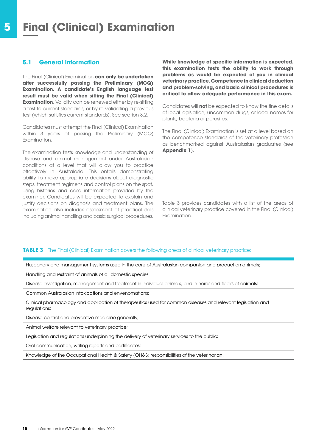## **5 Final (Clinical) Examination**

## **5.1 General information**

The Final (Clinical) Examination **can only be undertaken after successfully passing the Preliminary (MCQ) Examination. A candidate's English language test result must be valid when sitting the Final (Clinical) Examination**. Validity can be renewed either by re-sitting a test to current standards, or by re-validating a previous test (which satisfies current standards). See section 3.2.

Candidates must attempt the Final (Clinical) Examination within 3 years of passing the Preliminary (MCQ) Examination.

The examination tests knowledge and understanding of disease and animal management under Australasian conditions at a level that will allow you to practice effectively in Australasia. This entails demonstrating ability to make appropriate decisions about diagnostic steps, treatment regimens and control plans on the spot, using histories and case information provided by the examiner. Candidates will be expected to explain and justify decisions on diagnosis and treatment plans. The examination also includes assessment of practical skills including animal handling and basic surgical procedures.

**While knowledge of specific information is expected, this examination tests the ability to work through problems as would be expected of you in clinical veterinary practice. Competence in clinical deduction and problem-solving, and basic clinical procedures is critical to allow adequate performance in this exam.**

Candidates will **not** be expected to know the fine details of local legislation, uncommon drugs, or local names for plants, bacteria or parasites.

The Final (Clinical) Examination is set at a level based on the competence standards of the veterinary profession as benchmarked against Australasian graduates (see **Appendix 1**).

Table 3 provides candidates with a list of the areas of clinical veterinary practice covered in the Final (Clinical) Examination.

#### **TABLE 3** The Final (Clinical) Examination covers the following areas of clinical veterinary practice:

Husbandry and management systems used in the care of Australasian companion and production animals;

Handling and restraint of animals of all domestic species;

Disease investigation, management and treatment in individual animals, and in herds and flocks of animals;

Common Australasian intoxications and envenomations;

Clinical pharmacology and application of therapeutics used for common diseases and relevant legislation and regulations;

Disease control and preventive medicine generally;

Animal welfare relevant to veterinary practice;

Legislation and regulations underpinning the delivery of veterinary services to the public;

Oral communication, writing reports and certificates;

Knowledge of the Occupational Health & Safety (OH&S) responsibilities of the veterinarian.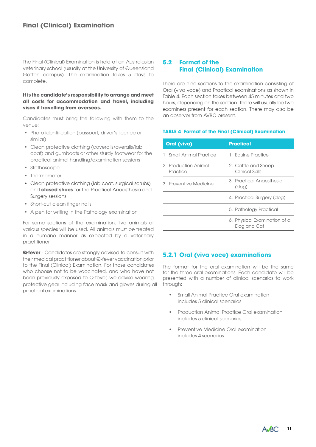The Final (Clinical) Examination is held at an Australasian veterinary school (usually at the University of Queensland Gatton campus). The examination takes 5 days to complete.

#### **It is the candidate's responsibility to arrange and meet all costs for accommodation and travel, including visas if travelling from overseas.**

Candidates must bring the following with them to the venue:

- Photo identification (passport, driver's licence or similar)
- Clean protective clothing (coveralls/overalls/lab coat) and gumboots or other sturdy footwear for the practical animal handling/examination sessions
- Stethoscope
- Thermometer
- Clean protective clothing (lab coat, surgical scrubs) and **closed shoes** for the Practical Anaesthesia and Surgery sessions
- Short-cut clean finger nails
- A pen for writing in the Pathology examination

For some sections of the examination, live animals of various species will be used. All animals must be treated in a humane manner as expected by a veterinary practitioner.

**Q-fever** - Candidates are strongly advised to consult with their medical practitioner about Q-fever vaccination prior to the Final (Clinical) Examination. For those candidates who choose not to be vaccinated, and who have not been previously exposed to Q-fever, we advise wearing protective gear including face mask and gloves during all practical examinations.

## **5.2 Format of the Final (Clinical) Examination**

There are nine sections to the examination consisting of Oral (viva voce) and Practical examinations as shown in Table 4. Each section takes between 45 minutes and two hours, depending on the section. There will usually be two examiners present for each section. There may also be an observer from AVBC present.

### **TABLE 4 Format of the Final (Clinical) Examination**

| Oral (viva)                      | <b>Practical</b>                            |
|----------------------------------|---------------------------------------------|
| 1. Small Animal Practice         | 1. Equine Practice                          |
| 2. Production Animal<br>Practice | 2. Cattle and Sheep<br>Clinical Skills      |
| 3. Preventive Medicine           | 3. Practical Anaesthesia<br>(dog)           |
|                                  | 4. Practical Surgery (dog)                  |
|                                  | 5. Pathology Practical                      |
|                                  | 6. Physical Examination of a<br>Dog and Cat |

## **5.2.1 Oral (viva voce) examinations**

The format for the oral examination will be the same for the three oral examinations. Each candidate will be presented with a number of clinical scenarios to work through:

- Small Animal Practice Oral examination includes 5 clinical scenarios
- Production Animal Practice Oral examination includes 5 clinical scenarios
- Preventive Medicine Oral examination includes 4 scenarios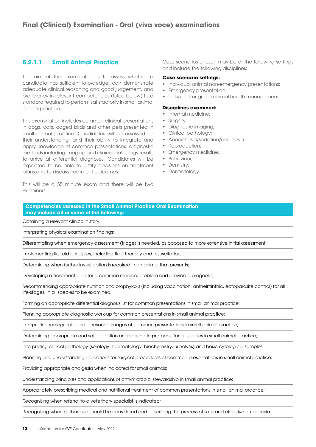## **5.2.1.1 Small Animal Practice**

The aim of the examination is to assess whether a candidate has sufficient knowledge, can demonstrate adequate clinical reasoning and good judgement, and proficiency in relevant competencies (listed below) to a standard required to perform satisfactorily in small animal clinical practice.

This examination includes common clinical presentations in dogs, cats, caged birds and other pets presented in small animal practice. Candidates will be assessed on their understanding, and their ability to integrate and apply knowledge of common presentations, diagnostic methods including imaging and clinical pathology results to arrive at differential diagnoses. Candidates will be expected to be able to justify decisions on treatment plans and to discuss treatment outcomes.

This will be a 55 minute exam and there will be two Examiners.

Case scenarios chosen may be of the following settings and include the following disciplines:

#### **Case scenario settings:**

- Individual animal non-emergency presentations;
- Emergency presentation;
- Individual or group animal health management.

#### **Disciplines examined:**

- Internal medicine;
- Surgery;
- Diagnostic imaging;
- Clinical pathology; • Anaesthesia/sedation/analgesia;
- Reproduction;
- Emergency medicine;
- Behaviour;
- Dentistry;
- Dermatology.

**Competencies assessed in the Small Animal Practice Oral Examination may include all or some of the following:**

Obtaining a relevant clinical history;

Interpreting physical examination findings;

Differentiating when emergency assessment (triage) is needed, as opposed to more extensive initial assessment;

Implementing first aid principles, including fluid therapy and resuscitation;

Determining when further investigation is required in an animal that presents;

Developing a treatment plan for a common medical problem and provide a prognosis;

Recommending appropriate nutrition and prophylaxis (including vaccination, anthelminthic, ectoparasite control) for all life-stages, in all species to be examined;

Forming an appropriate differential diagnosis list for common presentations in small animal practice;

Planning appropriate diagnostic work-up for common presentations in small animal practice;

Interpreting radiographs and ultrasound images of common presentations in small animal practice;

Determining appropriate and safe sedation or anaesthetic protocols for all species in small animal practice;

Interpreting clinical pathology (serology, haematology, biochemistry, urinalysis) and basic cytological samples;

Planning and understanding indications for surgical procedures of common presentations in small animal practice;

Providing appropriate analgesia when indicated for small animals;

Understanding principles and applications of anti-microbial stewardship in small animal practice;

Appropriately prescribing medical and nutritional treatment of common presentations in small animal practice;

Recognising when referral to a veterinary specialist is indicated;

Recognising when euthanasia should be considered and describing the process of safe and effective euthanasia.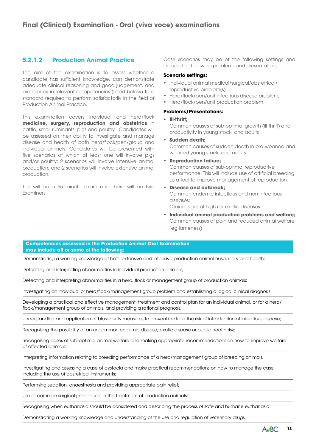## **5.2.1.2 Production Animal Practice**

The aim of the examination is to assess whether a candidate has sufficient knowledge, can demonstrate adequate clinical reasoning and good judgement, and proficiency in relevant competencies (listed below) to a standard required to perform satisfactorily in the field of Production Animal Practice.

This examination covers individual and herd/flock **medicine, surgery, reproduction and obstetrics** in cattle, small ruminants, pigs and poultry. Candidates will be assessed on their ability to investigate and manage disease and health of both herd/flock/pen/group and individual animals. Candidates will be presented with five scenarios of which at least one will involve pigs and/or poultry; 2 scenarios will involve intensive animal production; and 2 scenarios will involve extensive animal production.

This will be a 55 minute exam and there will be two **Examiners** 

Case scenarios may be of the following settings and include the following problems and presentations:

#### **Scenario settings:**

- Individual animal medical/surgical/obstetrical/ reproductive problem(s);
- Herd/flock/pen/unit infectious disease problem;
- Herd/flock/pen/unit production problem.

#### **Problems/Presentations:**

• **Ill-thrift;**

Common causes of sub-optimal growth (ill-thrift) and productivity in young stock, and adults

• **Sudden death;**

Common causes of sudden death in pre-weaned and weaned young stock, and adults

- **Reproduction failure;** Common causes of sub-optimal reproductive performance. This will include use of artificial breeding as a tool to improve management of reproduction
- **Disease and outbreak;** Common endemic infectious and non-infectious diseases; Clinical signs of high risk exotic diseases
- **Individual animal production problems and welfare;** Common causes of pain and reduced animal welfare (eg lameness)

#### **Competencies assessed in the Production Animal Oral Examination may include all or some of the following:**

Demonstrating a working knowledge of both extensive and intensive production animal husbandry and health;

Detecting and interpreting abnormalities in individual production animals;

Detecting and interpreting abnormalities in a herd, flock or management group of production animals;

Investigating an individual or herd/flock/management group problem and establishing a logical clinical diagnosis;

Developing a practical and effective management, treatment and control plan for an individual animal, or for a herd/ flock/management group of animals, and providing a rational prognosis;

Understanding and application of biosecurity measures to prevent/reduce the risk of introduction of infectious disease;

Recognising the possibility of an uncommon endemic disease, exotic disease or public health risk;

Recognising cases of sub-optimal animal welfare and making appropriate recommendations on how to improve welfare of affected animals;

Interpreting information relating to breeding performance of a herd/management group of breeding animals;

Investigating and assessing a case of dystocia and make practical recommendations on how to manage the case, including the use of obstetrical instruments;

Performing sedation, anaesthesia and providing appropriate pain relief;

Use of common surgical procedures in the treatment of production animals;

Recognising when euthanasia should be considered and describing the process of safe and humane euthanasia;

Demonstrating a working knowledge and understanding of the use and regulation of veterinary drugs.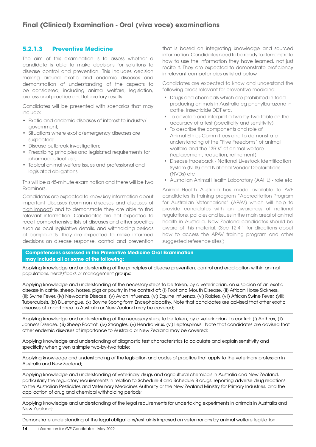## **5.2.1.3 Preventive Medicine**

The aim of this examination is to assess whether a candidate is able to make decisions for solutions to disease control and prevention. This includes decision making around exotic and endemic diseases and demonstration of understanding of the aspects to be considered, including animal welfare, legislation, professional practice and laboratory results.

Candidates will be presented with scenarios that may include:

- Exotic and endemic diseases of interest to industry/ government;
- Situations where exotic/emergency diseases are suspected;
- Disease outbreak investigation;
- Prescribing principles and legislated requirements for pharmaceutical use;
- Topical animal welfare issues and professional and legislated obligations.

This will be a 45-minute examination and there will be two Examiners.

Candidates are expected to know key information about important diseases (common diseases and diseases of high impact) and to demonstrate they are able to find relevant information. Candidates are not expected to recall comprehensive lists of diseases and other specifics such as local legislative details, and withholding periods of compounds. They are expected to make informed decisions on disease response, control and prevention that is based on integrating knowledge and sourced information. Candidates need to be ready to demonstrate how to use the information they have learned, not just recite it. They are expected to demonstrate proficiency in relevant competencies as listed below.

Candidates are expected to know and understand the following areas relevant for preventive medicine:

- Drugs and chemicals which are prohibited in food producing animals in Australia eg phenylbutazone in cattle, insecticide DDT etc.
- To develop and interpret a two-by-two table on the accuracy of a test (specificity and sensitivity)
- To describe the components and role of Animal Ethics Committees and to demonstrate understanding of the "Five Freedoms" of animal welfare and the "3R's" of animal welfare (replacement, reduction, refinement)
- Disease traceback National Livestock Identification System (NLIS) and National Vendor Declarations (NVDs) etc
- Australian Animal Health Laboratory (AAHL) role etc

Animal Health Australia has made available to AVE candidates its training program "Accreditation Program for Australian Veterinarians" (APAV) which will help to provide candidates with an awareness of national regulations, policies and issues in the main areal of animal health in Australia, New Zealand candidates should be aware of this material. (See 12.4.1 for directions about how to access the APAV training program and other suggested reference sites.)

#### **Competencies assessed in the Preventive Medicine Oral Examination may include all or some of the following:**

Applying knowledge and understanding of the principles of disease prevention, control and eradication within animal populations, herds/flocks or management groups;

Applying knowledge and understanding of the necessary steps to be taken, by a veterinarian, on suspicion of an exotic disease in cattle, sheep, horses, pigs or poultry in the context of: (i) Foot and Mouth Disease, (ii) African Horse Sickness, (iii) Swine Fever, (iv) Newcastle Disease, (v) Avian Influenza, (vi) Equine Influenza, (vi) Rabies, (vii) African Swine Fever, (viii) Tuberculosis, (ix) Bluetongue, (x) Bovine Spongiform Encephalopathy. Note that candidates are advised that other exotic diseases of importance to Australia or New Zealand may be covered;

Applying knowledge and understanding of the necessary steps to be taken, by a veterinarian, to control: (i) Anthrax, (ii) Johne's Disease, (iii) Sheep Footrot, (iv) Strangles, (v) Hendra virus, (vi) Leptospirosis. Note that candidates are advised that other endemic diseases of importance to Australia or New Zealand may be covered;

Applying knowledge and understanding of diagnostic test characteristics to calculate and explain sensitivity and specificity when given a simple two-by-two table;

Applying knowledge and understanding of the legislation and codes of practice that apply to the veterinary profession in Australia and New Zealand;

Applying knowledge and understanding of veterinary drugs and agricultural chemicals in Australia and New Zealand, particularly the regulatory requirements in relation to Schedule 4 and Schedule 8 drugs, reporting adverse drug reactions to the Australian Pesticides and Veterinary Medicines Authority or the New Zealand Ministry for Primary Industries, and the application of drug and chemical withholding periods;

Applying knowledge and understanding of the legal requirements for undertaking experiments in animals in Australia and New Zealand;

Demonstrate understanding of the legal obligations/restraints imposed on veterinarians by animal welfare legislation.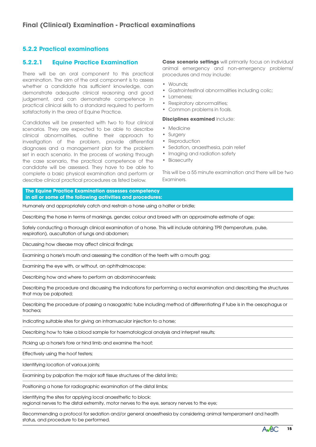## **5.2.2 Practical examinations**

### **5.2.2.1 Equine Practice Examination**

There will be an oral component to this practical examination. The aim of the oral component is to assess whether a candidate has sufficient knowledge, can demonstrate adequate clinical reasoning and good judgement, and can demonstrate competence in practical clinical skills to a standard required to perform satisfactorily in the area of Equine Practice.

Candidates will be presented with two to four clinical scenarios. They are expected to be able to describe clinical abnormalities, outline their approach to investigation of the problem, provide differential diagnoses and a management plan for the problem set in each scenario. In the process of working through the case scenario, the practical competence of the candidate will be assessed. They have to be able to complete a basic physical examination and perform or describe clinical practical procedures as listed below.

**Case scenario settings** will primarily focus on individual animal emergency and non-emergency problems/ procedures and may include:

- Wounds;
- Gastrointestinal abnormalities including colic;
- Lameness;
- Respiratory abnormalities;
- Common problems in foals.

#### **Disciplines examined** include:

- Medicine
- Surgery
- Reproduction
- Sedation, anaesthesia, pain relief
- Imaging and radiation safety
- Biosecurity

This will be a 55 minute examination and there will be two Examiners.

**The Equine Practice Examination assesses competency in all or some of the following activities and procedures:**

Humanely and appropriately catch and restrain a horse using a halter or bridle;

Describing the horse in terms of markings, gender, colour and breed with an approximate estimate of age;

Safely conducting a thorough clinical examination of a horse. This will include obtaining TPR (temperature, pulse, respiration), auscultation of lungs and abdomen;

Discussing how disease may affect clinical findings;

Examining a horse's mouth and assessing the condition of the teeth with a mouth gag;

Examining the eye with, or without, an ophthalmoscope;

Describing how and where to perform an abdominocentesis;

Describing the procedure and discussing the indications for performing a rectal examination and describing the structures that may be palpated;

Describing the procedure of passing a nasogastric tube including method of differentiating if tube is in the oesophagus or trachea;

Indicating suitable sites for giving an intramuscular injection to a horse;

Describing how to take a blood sample for haematological analysis and interpret results;

Picking up a horse's fore or hind limb and examine the hoof;

Effectively using the hoof testers;

Identifying location of various joints;

Examining by palpation the major soft tissue structures of the distal limb;

Positioning a horse for radiographic examination of the distal limbs;

Identifying the sites for applying local anaesthetic to block: regional nerves to the distal extremity, motor nerves to the eye, sensory nerves to the eye;

Recommending a protocol for sedation and/or general anaesthesia by considering animal temperament and health status, and procedure to be performed.

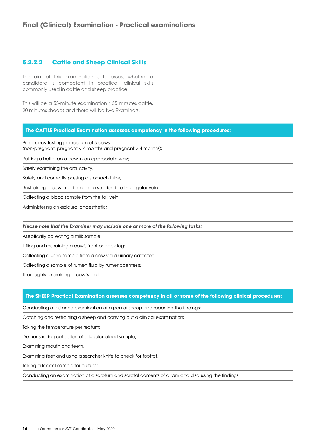## **5.2.2.2 Cattle and Sheep Clinical Skills**

The aim of this examination is to assess whether a candidate is competent in practical, clinical skills commonly used in cattle and sheep practice.

This will be a 55-minute examination ( 35 minutes cattle, 20 minutes sheep) and there will be two Examiners.

#### **The CATTLE Practical Examination assesses competency in the following procedures:**

Pregnancy testing per rectum of 3 cows –

(non-pregnant, pregnant < 4 months and pregnant > 4 months);

Putting a halter on a cow in an appropriate way;

Safely examining the oral cavity;

Safely and correctly passing a stomach tube;

Restraining a cow and injecting a solution into the jugular vein;

Collecting a blood sample from the tail vein;

Administering an epidural anaesthetic;

*Please note that the Examiner may include one or more of the following tasks:*

Aseptically collecting a milk sample;

Lifting and restraining a cow's front or back leg;

Collecting a urine sample from a cow via a urinary catheter;

Collecting a sample of rumen fluid by rumenocentesis;

Thoroughly examining a cow's foot.

#### **The SHEEP Practical Examination assesses competency in all or some of the following clinical procedures:**

Conducting a distance examination of a pen of sheep and reporting the findings;

Catching and restraining a sheep and carrying out a clinical examination;

Taking the temperature per rectum;

Demonstrating collection of a jugular blood sample;

Examining mouth and teeth;

Examining feet and using a searcher knife to check for footrot;

Taking a faecal sample for culture;

Conducting an examination of a scrotum and scrotal contents of a ram and discussing the findings.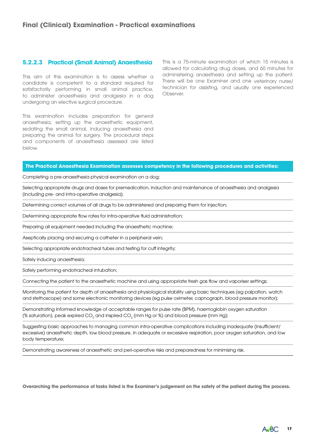### **5.2.2.3 Practical (Small Animal) Anaesthesia**

This aim of this examination is to assess whether a candidate is competent to a standard required for satisfactorily performing in small animal practice, to administer anaesthesia and analgesia in a dog undergoing an elective surgical procedure.

This examination includes preparation for general anaesthesia, setting up the anaesthetic equipment, sedating the small animal, inducing anaesthesia and preparing the animal for surgery. The procedural steps and components of anaesthesia assessed are listed below.

This is a 75-minute examination of which 15 minutes is allowed for calculating drug doses, and 60 minutes for administering anaesthesia and setting up the patient. There will be one Examiner and one veterinary nurse/ technician for assisting, and usually one experienced Observer.

#### **The Practical Anaesthesia Examination assesses competency in the following procedures and activities:**

Completing a pre-anaesthesia physical examination on a dog;

Selecting appropriate drugs and doses for premedication, induction and maintenance of anaesthesia and analgesia (including pre- and intra-operative analgesia);

Determining correct volumes of all drugs to be administered and preparing them for injection;

Determining appropriate flow rates for intra-operative fluid administration;

Preparing all equipment needed including the anaesthetic machine;

Aseptically placing and securing a catheter in a peripheral vein;

Selecting appropriate endotracheal tubes and testing for cuff integrity;

Safely inducing anaesthesia;

Safely performing endotracheal intubation;

Connecting the patient to the anaesthetic machine and using appropriate fresh gas flow and vaporiser settings;

Monitoring the patient for depth of anaesthesia and physiological stability using basic techniques (eg palpation, watch and stethoscope) and some electronic monitoring devices (eg pulse oximeter, capnograph, blood pressure monitor);

Demonstrating informed knowledge of acceptable ranges for pulse rate (BPM), haemoglobin oxygen saturation (% saturation), peak expired CO<sub>2</sub> and inspired CO<sub>2</sub> (mm Hg or %) and blood pressure (mm Hg);

Suggesting basic approaches to managing common intra-operative complications including inadequate (insufficient/ excessive) anaesthetic depth, low blood pressure, in adequate or excessive respiration, poor oxygen saturation, and low body temperature;

Demonstrating awareness of anaesthetic and peri-operative risks and preparedness for minimising risk.

**Overarching the performance of tasks listed is the Examiner's judgement on the safety of the patient during the process.**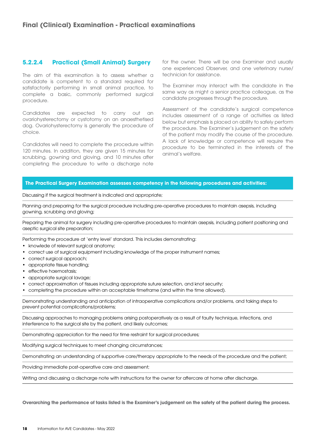## **5.2.2.4 Practical (Small Animal) Surgery**

The aim of this examination is to assess whether a candidate is competent to a standard required for satisfactorily performing in small animal practice, to complete a basic, commonly performed surgical procedure.

Candidates are expected to carry out an ovariohysterectomy or cystotomy on an anaesthetised dog. Ovariohysterectomy is generally the procedure of choice.

Candidates will need to complete the procedure within 120 minutes. In addition, they are given 15 minutes for scrubbing, gowning and gloving, and 10 minutes after completing the procedure to write a discharge note

for the owner. There will be one Examiner and usually one experienced Observer, and one veterinary nurse/ technician for assistance.

The Examiner may interact with the candidate in the same way as might a senior practice colleague, as the candidate progresses through the procedure.

Assessment of the candidate's surgical competence includes assessment of a range of activities as listed below but emphasis is placed on ability to safely perform the procedure. The Examiner's judgement on the safety of the patient may modify the course of the procedure. A lack of knowledge or competence will require the procedure to be terminated in the interests of the animal's welfare.

#### **The Practical Surgery Examination assesses competency in the following procedures and activities:**

Discussing if the surgical treatment is indicated and appropriate;

Planning and preparing for the surgical procedure including pre-operative procedures to maintain asepsis, including gowning, scrubbing and gloving;

Preparing the animal for surgery including pre-operative procedures to maintain asepsis, including patient positioning and aseptic surgical site preparation;

Performing the procedure at 'entry level' standard. This includes demonstrating:

- knowlede of relevant surgical anatomy;
- correct use of surgical equipment including knowledge of the proper instrument names;
- correct surgical approach;
- appropriate tissue handling;
- effective haemostasis;
- appropriate surgical lavage;
- correct approximation of tissues including appropriate suture selection, and knot security;
- completing the procedure within an acceptable timeframe (and within the time allowed).

Demonstrating understanding and anticipation of intraoperative complications and/or problems, and taking steps to prevent potential complications/problems;

Discussing approaches to managing problems arising postoperatively as a result of faulty technique, infections, and interference to the surgical site by the patient, and likely outcomes;

Demonstrating appreciation for the need for time restraint for surgical procedures;

Modifying surgical techniques to meet changing circumstances;

Demonstrating an understanding of supportive care/therapy appropriate to the needs of the procedure and the patient;

Providing immediate post-operative care and assessment;

Writing and discussing a discharge note with instructions for the owner for aftercare at home after discharge.

**Overarching the performance of tasks listed is the Examiner's judgement on the safety of the patient during the process.**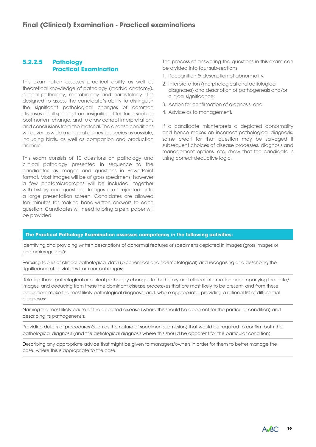## **5.2.2.5 Pathology Practical Examination**

This examination assesses practical ability as well as theoretical knowledge of pathology (morbid anatomy), clinical pathology, microbiology and parasitology. It is designed to assess the candidate's ability to distinguish the significant pathological changes of common diseases of all species from insignificant features such as postmortem change, and to draw correct interpretations and conclusions from the material. The disease conditions will cover as wide a range of domestic species as possible, including birds, as well as companion and production animals.

This exam consists of 10 questions on pathology and clinical pathology presented in sequence to the candidates as images and questions in PowerPoint format. Most images will be of gross specimens; however a few photomicrographs will be included, together with history and questions. Images are projected onto a large presentation screen. Candidates are allowed ten minutes for making hand-written answers to each question. Candidates will need to bring a pen, paper will be provided

The process of answering the questions in this exam can be divided into four sub-sections:

- 1. Recognition & description of abnormality;
- 2. Interpretation (morphological and aetiological diagnoses) and description of pathogenesis and/or clinical significance;
- 3. Action for confirmation of diagnosis; and
- 4. Advice as to management.

If a candidate misinterprets a depicted abnormality and hence makes an incorrect pathological diagnosis, some credit for that question may be salvaged if subsequent choices of disease processes, diagnosis and management options, etc, show that the candidate is using correct deductive logic.

#### **The Practical Pathology Examination assesses competency in the following activities:**

Identifying and providing written descriptions of abnormal features of specimens depicted in images (gross images or photomicrographs);

Perusing tables of clinical pathological data (biochemical and haematological) and recognising and describing the significance of deviations from normal ranges;

Relating these pathological or clinical pathology changes to the history and clinical information accompanying the data/ images, and deducing from these the dominant disease process/es that are most likely to be present, and from these deductions make the most likely pathological diagnosis, and, where appropriate, providing a rational list of differential diagnoses;

Naming the most likely cause of the depicted disease (where this should be apparent for the particular condition) and describing its pathogenensis;

Providing details of procedures (such as the nature of specimen submission) that would be required to confirm both the pathological diagnosis (and the aetiological diagnosis where this should be apparent for the particular condition);

Describing any appropriate advice that might be given to managers/owners in order for them to better manage the case, where this is appropriate to the case.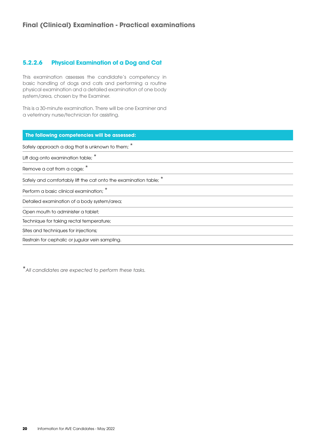## **5.2.2.6 Physical Examination of a Dog and Cat**

This examination assesses the candidate's competency in basic handling of dogs and cats and performing a routine physical examination and a detailed examination of one body system/area, chosen by the Examiner.

This is a 30-minute examination. There will be one Examiner and a veterinary nurse/technician for assisting.

| The following competencies will be assessed:                    |
|-----------------------------------------------------------------|
| Safely approach a dog that is unknown to them; $*$              |
| Lift dog onto examination table;                                |
| Remove a cat from a cage;                                       |
| Safely and comfortably lift the cat onto the examination table; |
| Perform a basic clinical examination; *                         |
| Detailed examination of a body system/area;                     |
| Open mouth to administer a tablet;                              |
| Technique for taking rectal temperature;                        |
| Sites and techniques for injections;                            |
| Restrain for cephalic or jugular vein sampling.                 |

\**All candidates are expected to perform these tasks.*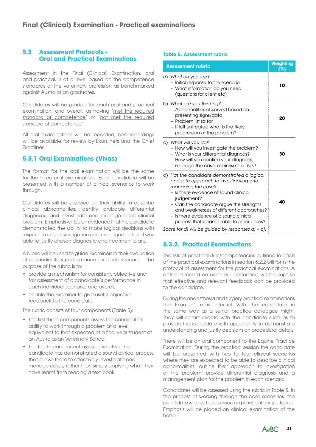## **5.3 Assessment Protocols - Oral and Practical Examinations**

Assessment in the Final (Clinical) Examination, oral and practical, is at a level based on the competence standards of the veterinary profession as benchmarked against Australasian graduates.

Candidates will be graded for each oral and practical examination, and overall, as having 'met the required standard of competence' or 'not met the required standard of competence'.

All oral examinations will be recorded, and recordings will be available for review by Examiners and the Chief Examiner.

## **5.3.1 Oral Examinations (Vivas)**

The format for the oral examination will be the same for the three oral examinations. Each candidate will be presented with a number of clinical scenarios to work through.

Candidates will be assessed on their ability to describe clinical abnormalities, identify probable differential diagnoses, and investigate and manage each clinical problem. Emphasis will be on evidence that the candidate demonstrated the ability to make logical decisions with respect to case investigation and management and was able to justify chosen diagnostic and treatment plans.

A rubric will be used to guide Examiners in their evaluation of a candidate's performance for each scenario. The purpose of the rubric is to:

- provide a mechanism for consistent, objective and fair assessment of a candidate's performance in each individual scenario, and overall;
- enable the Examiner to give useful objective feedback to the candidate.

The rubric consists of four components (Table 5):

- The first three components assess the candidate's ability to work through a problem at a level equivalent to that expected of a final year student at an Australasian Veterinary School.
- The fourth component assesses whether the candidate has demonstrated a sound clinical process that allows them to effectively investigate and manage cases, rather than simply applying what they have learnt from reading a text book.

#### **Table 5. Assessment rubric**

| <b>Assessment rubric</b>                                                                                                                                                                                                                                                                                                                                                                                    | Weighting<br>(%) |
|-------------------------------------------------------------------------------------------------------------------------------------------------------------------------------------------------------------------------------------------------------------------------------------------------------------------------------------------------------------------------------------------------------------|------------------|
| a) What do you see?<br>- Initial response to the scenario<br>- What information do you need<br>(questions for client etc)                                                                                                                                                                                                                                                                                   | 10               |
| b) What are you thinking?<br>- Abnormalities observed based on<br>presenting signs/data<br>- Problem list so far<br>- If left untreated what is the likely<br>progression of the problem?                                                                                                                                                                                                                   | 20               |
| c) What will you do?<br>- How will you investigate the problem?<br>- What is your differential diagnosis?<br>- How will you confirm your diagnosis,<br>manage the case, minimise the risks?                                                                                                                                                                                                                 | 30               |
| d) Has the candidate demonstrated a logical<br>and safe approach to investigating and<br>managing the case?<br>- Is there evidence of sound clinical<br>judgement?<br>- Can the candidate argue the strengths<br>and weaknesses of different approaches?<br>- Is there evidence of a sound clinical<br>process that is transferable to other cases?<br>Score for d) will be guided by responses $a$ ) - c). | 40               |

## **5.3.2. Practical Examinations**

The lists of practical skills/competencies outlined in each of the practical examinations in section 5.2.2 will form the protocol of assessment for the practical examinations. A detailed record on each skill performed will be kept so that effective and relevant feedback can be provided to the candidate.

During the anaesthesia and surgery practical examinations the Examiner may interact with the candidate in the same way as a senior practice colleague might. They will communicate with the candidate such as to provide the candidate with opportunity to demonstrate understanding and justify decisions on procedural details.

There will be an oral component to the Equine Practice Examination. During the practical session the candidate will be presented with two to four clinical scenarios where they are expected to be able to describe clinical abnormalities, outline their approach to investigation of the problem, provide differential diagnosis and a management plan for the problem in each scenario.

Candidates will be assessed using the rubric in Table 5. In the process of working through the case scenarios, the candidate will also be assessed on practical competence. Emphasis will be placed on clinical examination of the horse.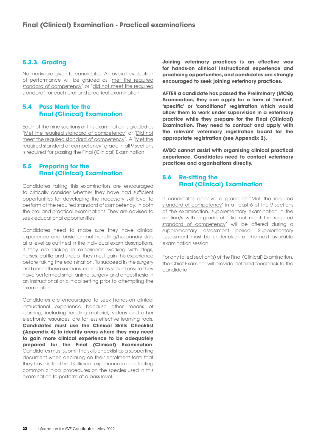## **5.3.3. Grading**

No marks are given to candidates. An overall evaluation of performance will be graded as 'met the required standard of competency' or 'did not meet the required standard' for each oral and practical examination.

## **5.4 Pass Mark for the Final (Clinical) Examination**

Each of the nine sections of this examination is graded as 'Met the required standard of competency' or 'Did not meet the required standard of competency'. A 'Met the required standard of competency' grade in all 9 sections is required for passing the Final (Clinical) Examination.

## **5.5 Preparing for the Final (Clinical) Examination**

Candidates taking this examination are encouraged to critically consider whether they have had sufficient opportunities for developing the necessary skill level to perform at the required standard of competency, in both the oral and practical examinations. They are advised to seek educational opportunities.

Candidates need to make sure they have clinical experience and basic animal handling/husbandry skills at a level as outlined in the individual exam descriptions. If they are lacking in experience working with dogs, horses, cattle and sheep, they must gain this experience before taking the examination. To succeed in the surgery and anaesthesia sections, candidates should ensure they have performed small animal surgery and anaesthesia in an instructional or clinical setting prior to attempting the examination.

Candidates are encouraged to seek hands-on clinical instructional experience because other means of learning, including reading material, videos and other electronic resources, are far less effective learning tools. **Candidates must use the Clinical Skills Checklist (Appendix 4) to identify areas where they may need to gain more clinical experience to be adequately prepared for the Final (Clinical) Examination**. Candidates must submit the skills checklist as a supporting document when declaring on their enrolment form that they have in fact had sufficient experience in conducting common clinical procedures on the species used in this examination to perform at a pass level.

**Joining veterinary practices is an effective way for hands-on clinical instructional experience and practicing opportunities, and candidates are strongly encouraged to seek joining veterinary practices.**

**AFTER a candidate has passed the Preliminary (MCQ) Examination, they can apply for a form of 'limited', 'specific' or 'conditional' registration which would allow them to work under supervision in a veterinary practice while they prepare for the Final (Clinical) Examination. They need to contact and apply with the relevant veterinary registration board for the appropriate registration (see Appendix 2).**

**AVBC cannot assist with organising clinical practical experience. Candidates need to contact veterinary practices and organisations directly.**

## **5.6 Re-sitting the Final (Clinical) Examination**

If candidates achieve a grade of 'Met the required standard of competency' in at least 6 of the 9 sections of the examination, supplementary examination in the section/s with a grade of 'Did not meet the required standard of competency' will be offered during a supplementary assessment period. Supplementary assessment must be undertaken at the next available examination session.

For any failed section(s) of the Final (Clinical) Examination, the Chief Examiner will provide detailed feedback to the candidate.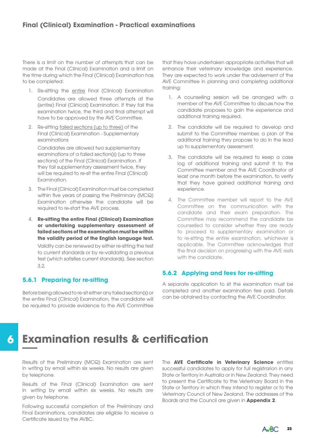There is a limit on the number of attempts that can be made at the Final (Clinical) Examination and a limit on the time during which the Final (Clinical) Examination has to be completed:

- 1. Re-sitting the entire Final (Clinical) Examination Candidates are allowed three attempts at the (entire) Final (Clinical) Examination. If they fail the examination twice, the third and final attempt will have to be approved by the AVE Committee.
- 2. Re-sitting failed sections (up to three) of the Final (Clinical) Examination - Supplementary examinations

Candidates are allowed two supplementary examinations of a failed section(s) (up to three sections) of the Final (Clinical) Examination. If they fail supplementary assessment twice, they will be required to re-sit the entire Final (Clinical) Examination.

- 3. The Final (Clinical) Examination must be completed within five years of passing the Preliminary (MCQ) Examination otherwise the candidate will be required to re-start the AVE process.
- 4. **Re-sitting the entire Final (Clinical) Examination or undertaking supplementary assessment of failed sections of the examination must be within the validity period of the English language test.**

Validity can be renewed by either re-sitting the test to current standards or by re-validating a previous test (which satisfies current standards). See section 3.2.

## **5.6.1 Preparing for re-sitting**

Before being allowed to re-sit either any failed section(s) or the entire Final (Clinical) Examination, the candidate will be required to provide evidence to the AVE Committee

that they have undertaken appropriate activities that will enhance their veterinary knowledge and experience. They are expected to work under the advisement of the AVE Committee in planning and completing additional training:

- 1. A counselling session will be arranged with a member of the AVE Committee to discuss how the candidate proposes to gain the experience and additional training required.
- 2. The candidate will be required to develop and submit to the Committee member, a plan of the additional training they propose to do in the lead up to supplementary assessment.
- 3. The candidate will be required to keep a case log of additional training and submit it to the Committee member and the AVE Coordinator at least one month before the examination, to verify that they have gained additional training and experience.
- 4. The Committee member will report to the AVE Committee on the communication with the candidate and their exam preparation. The Committee may recommend the candidate be counselled to consider whether they are ready to proceed to supplementary examination or to re-sitting the entire examination, whichever is applicable. The Committee acknowledges that the final decision on progressing with the AVE rests with the candidate.

## **5.6.2 Applying and fees for re-sitting**

A separate application to sit the examination must be completed and another examination fee paid. Details can be obtained by contacting the AVE Coordinator.

## **6 Examination results & certification**

Results of the Preliminary (MCQ) Examination are sent in writing by email within six weeks. No results are given by telephone.

Results of the Final (Clinical) Examination are sent in writing by email within six weeks. No results are given by telephone.

Following successful completion of the Preliminary and Final Examinations, candidates are eligible to receive a Certificate issued by the AVBC.

The **AVE Certificate in Veterinary Science** entitles successful candidates to apply for full registrarion in any State or Territory in Australia or in New Zealand. They need to present the Certificate to the Veterinary Board in the State or Territory in which they intend to register or to the Veterinary Council of New Zealand. The addresses of the Boards and the Council are given in **Appendix 2**.

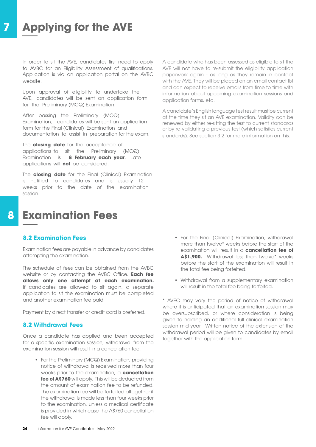## **7 Applying for the AVE**

In order to sit the AVE, candidates first need to apply to AVBC for an Eligibility Assessment of qualifications. Application is via an application portal on the AVBC website.

Upon approval of eligibility to undertake the AVE, candidates will be sent an application form for the Preliminary (MCQ) Examination.

After passing the Preliminary (MCQ) Examination, candidates will be sent an application form for the Final (Clinical) Examination and documentation to assist in preparation for the exam.

The **closing date** for the acceptance of applications to sit the Preliminary (MCQ) Examination is **8 February each year**. Late applications will **not** be considered.

The **closing date** for the Final (Clinical) Examination is notified to candidates and is usually 12 weeks prior to the date of the examination session.

## **8 Examination Fees**

## **8.2 Examination Fees**

Examination fees are payable in advance by candidates attempting the examination.

The schedule of fees can be obtained from the AVBC website or by contacting the AVBC Office. **Each fee allows only one attempt at each examination.**  If candidates are allowed to sit again, a separate application to sit the examination must be completed and another examination fee paid.

Payment by direct transfer or credit card is preferred.

#### **8.2 Withdrawal Fees**

Once a candidate has applied and been accepted for a specific examination session, withdrawal from the examination session will result in a cancellation fee.

• For the Preliminary (MCQ) Examination, providing notice of withdrawal is received more than four weeks prior to the examination, a **cancellation fee of A\$760** will apply. This will be deducted from the amount of examination fee to be refunded. The examination fee will be forfeited altogether if the withdrawal is made less than four weeks prior to the examination, unless a medical certificate is provided in which case the A\$760 cancellation fee will apply.

A candidate who has been assessed as eligible to sit the AVE will not have to re-submit the eligibility application paperwork again - as long as they remain in contact with the AVE. They will be placed on an email contact list and can expect to receive emails from time to time with information about upcoming examination sessions and application forms, etc.

A candidate's English language test result must be current at the time they sit an AVE examination. Validity can be renewed by either re-sitting the test to current standards or by re-validating a previous test (which satisfies current standards). See section 3.2 for more information on this.

- For the Final (Clinical) Examination, withdrawal more than twelve\* weeks before the start of the examination will result in a **cancellation fee of** A\$1.900. Withdrawal less than twelve<sup>\*</sup> weeks before the start of the examination will result in the total fee being forfeited.
- Withdrawal from a supplementary examination will result in the total fee being forfeited.

\* AVEC may vary the period of notice of withdrawal where it is anticipated that an examination session may be oversubscribed, or where consideration is being given to holding an additional full clinical examination session mid-year. Written notice of the extension of the withdrawal period will be given to candidates by email together with the application form.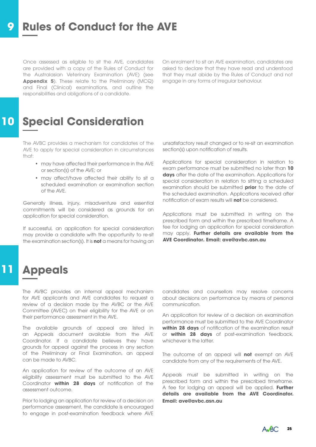## **9 Rules of Conduct for the AVE**

Once assessed as eligible to sit the AVE, candidates are provided with a copy of the Rules of Conduct for the Australasian Veterinary Examination (AVE) (see **Appendix 5**). These relate to the Preliminary (MCQ) and Final (Clinical) examinations, and outline the responsibilities and obligations of a candidate.

On enrolment to sit an AVE examination, candidates are asked to declare that they have read and understood that they must abide by the Rules of Conduct and not engage in any forms of irregular behaviour.

## **10 Special Consideration**

The AVBC provides a mechanism for candidates of the AVE to apply for special consideration in circumstances that:

- may have affected their performance in the AVE or section(s) of the AVE; or
- may affect/have affected their ability to sit a scheduled examination or examination section of the AVE.

Generally illness, injury, misadventure and essential commitments will be considered as grounds for an application for special consideration.

If successful, an application for special consideration may provide a candidate with the opportunity to re-sit the examination section(s). It is **not** a means for having an

unsatisfactory result changed or to re-sit an examination section(s) upon notification of results.

Applications for special consideration in relation to exam performance must be submitted no later than **10 days** after the date of the examination. Applications for special consideration in relation to sitting a scheduled examination should be submitted **prior** to the date of the scheduled examination. Applications received after notification of exam results will **not** be considered.

Applications must be submitted in writing on the prescribed form and within the prescribed timeframe. A fee for lodging an application for special consideration may apply. **Further details are available from the AVE Coordinator. Email: ave@avbc.asn.au** 

## **11 Appeals**

The AVBC provides an internal appeal mechanism for AVE applicants and AVE candidates to request a review of a decision made by the AVBC or the AVE Committee (AVEC) on their eligibility for the AVE or on their performance assessment in the AVE.

The available grounds of appeal are listed in an Appeals document available from the AVE Coordinator. If a candidate believes they have grounds for appeal against the process in any section of the Preliminary or Final Examination, an appeal can be made to AVBC.

An application for review of the outcome of an AVE eligibility assessment must be submitted to the AVE Coordinator **within 28 days** of notification of the assessment outcome.

Prior to lodging an application for review of a decision on performance assessment, the candidate is encouraged to engage in post-examination feedback where AVE

candidates and counsellors may resolve concerns about decisions on performance by means of personal communication.

An application for review of a decision on examination performance must be submitted to the AVE Coordinator **within 28 days** of notification of the examination result or **within 28 days** of post-examination feedback, whichever is the latter.

The outcome of an appeal will **not** exempt an AVE candidate from any of the requirements of the AVE.

Appeals must be submitted in writing on the prescribed form and within the prescribed timeframe. A fee for lodging an appeal will be applied. **Further details are available from the AVE Coordinator. Email: ave@avbc.asn.au**

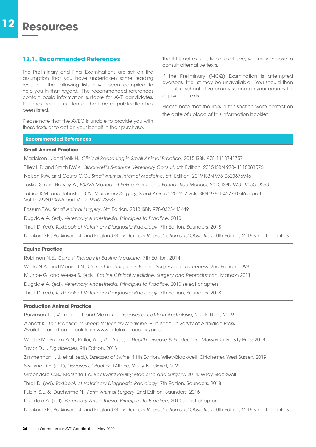### **12.1. Recommended References**

The Preliminary and Final Examinations are set on the assumption that you have undertaken some reading revision. The following lists have been compiled to help you in that regard. The recommended references contain basic information suitable for AVE candidates. The most recent edition at the time of publication has been listed.

Please note that the AVBC is unable to provide you with these texts or to act on your behalf in their purchase.

The list is not exhaustive or exclusive; you may choose to consult alternative texts.

If the Preliminary (MCQ) Examination is attempted overseas, the list may be unavailable. You should then consult a school of veterinary science in your country for equivalent texts.

Please note that the links in this section were correct on the date of upload of this information booklet.

#### **Recommended References**

#### **Small Animal Practice**

Maddison J. and Volk H., *Clinical Reasoning in Small Animal Practice*, 2015 ISBN 978-1118741757 Tilley L.P. and Smith F.W.K., *Blackwell's 5-minute Veterinary Consult*, 6th Edition, 2015 ISBN 978- 1118881576 Nelson R.W. and Couto C.G., *Small Animal Internal Medicine*, 6th Edition, 2019 ISBN 978-0323676946 Tasker S. and Harvey A., *BSAVA Manual of Feline Practice, a Foundation Manual*, 2013 ISBN 978-1905319398 Tobias K.M. and Johnston S.A., *Veterinary Surgery, Small Animal*, 2012, 2 vols ISBN 978-1-4377-0746-5-part Vol 1: 9996073696-part Vol 2: 9996073637r Fossum T.W., *Small Animal Surgery*, 5th Edition, 2018 ISBN 978-0323443449 Dugdale A. (ed), *Veterinary Anaesthesia: Principles to Practice,* 2010

Thrall D. (ed), *Textbook of Veterinary Diagnostic Radiology*, 7th Edition, Saunders, 2018

Noakes D.E., Parkinson T.J. and England G., *Veterinary Reproduction and Obstetrics* 10th Edition, 2018 select chapters

#### **Equine Practice**

Robinson N.E., *Current Therapy in Equine Medicine*, 7th Edition, 2014

White N.A. and Moore J.N., *Current Techniques in Equine Surgery and Lameness*, 2nd Edition, 1998

Munroe G. and Weese S. (eds), *Equine Clinical Medicine, Surgery and Reproduction*, Manson 2011

Dugdale A. (ed), *Veterinary Anaesthesia: Principles to Practice,* 2010 select chapters

Thrall D. (ed), *Textbook of Veterinary Diagnostic Radiology*, 7th Edition, Saunders, 2018

#### **Production Animal Practice**

Parkinson T.J., Vermunt J.J. and Malmo J., *Diseases of cattle in Australasia*, 2nd Edition, 2019 Abbott K., *The Practice of Sheep Veterinary Medicine*, Publisher: University of Adelaide Press. Available as a free ebook from www.adelaide.edu.au/press West D.M., Bruere A.N., Ridler, A.L.; *The Sheep: Health, Disease & Production*, Massey University Press 2018 Taylor D.J., *Pig diseases*, 9th Edition, 2013 Zimmerman, J.J. et al. (ed.), *Diseases of Swine*, 11th Edition, Wiley-Blackwell, Chichester, West Sussex, 2019 Swayne D.E. (ed.), *Diseases of Poultry*, 14th Ed, Wiley-Blackwell, 2020 Greenacre C.B., Morishita T.Y., *Backyard Poultry Medicine and Surgery*, 2014, Wiley-Blackwell Thrall D. (ed), *Textbook of Veterinary Diagnostic Radiology*, 7th Edition, Saunders, 2018 Fubini S.L. & Ducharme N., *Farm Animal Surgery*, 2nd Edition, Saunders, 2016 Dugdale A. (ed), *Veterinary Anaesthesia: Principles to Practice,* 2010 select chapters Noakes D.E., Parkinson T.J. and England G., *Veterinary Reproduction and Obstetrics* 10th Edition, 2018 select chapters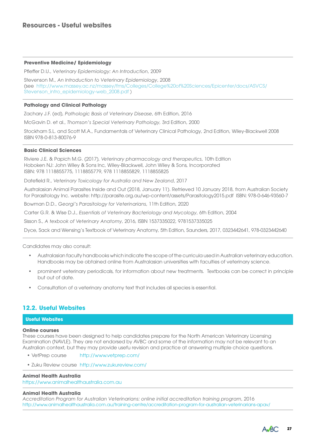#### **Preventive Medicine/ Epidemiology**

Pfieffer D.U., *Veterinary Epidemiology: An Introduction*, 2009

Stevenson M., *An Introduction to Veterinary Epidemiology*, 2008 (see [http://www.massey.ac.nz/massey/fms/Colleges/College%20of%20Sciences/Epicenter/docs/ASVCS/](http://www.massey.ac.nz/massey/fms/Colleges/College%20of%20Sciences/Epicenter/docs/ASVCS/Stevenson_intro_epidemiology-web_2008.pdf) [Stevenson\\_intro\\_epidemiology-web\\_2008.pdf](http://www.massey.ac.nz/massey/fms/Colleges/College%20of%20Sciences/Epicenter/docs/ASVCS/Stevenson_intro_epidemiology-web_2008.pdf) )

#### **Pathology and Clinical Pathology**

Zachary J.F. (ed), *Pathologic Basis of Veterinary Disease*, 6th Edition, 2016

McGavin D. et al., *Thomson's Special Veterinary Pathology,* 3rd Edition, 2000

Stockham S.L. and Scott M.A., Fundamentals of Veterinary Clinical Pathology, 2nd Edition, Wiley-Blackwell 2008 ISBN 978-0-813-80076-9

#### **Basic Clinical Sciences**

Riviere J.E. & Papich M.G. (2017), *Veterinary pharmacology and therapeutics*, 10th Edition Hoboken NJ: John Wiley & Sons Inc, Wiley-Blackwell, John Wiley & Sons, Incorporated ISBN: 978 1118855775, 1118855779, 978 1118855829, 1118855825

Datefield R., *Veterinary Toxicology for Australia and New Zealand*, 2017

Australasian Animal Parasites Inside and Out (2018, January 11). Retrieved 10 January 2018, from Australian Society for Parasitology Inc. website: http://parasite.org.au/wp-content/assets/Parasitology2015.pdf ISBN: 978-0-646-93560-7

Bowman D.D., *Georgi's Parasitology for Veterinarians*, 11th Edition, 2020

Carter G.R. & Wise D.J., *Essentials of Veterinary Bacteriology and Mycology*, 6th Edition, 2004

Sisson S., *A texbook of Veterinary Anatomy*, 2016, ISBN 1537335022, 9781537335025

Dyce, Sack and Wensing's Textbook of Veterinary Anatomy, 5th Edition, Saunders, 2017, 0323442641, 978-0323442640

Candidates may also consult:

- Australasian faculty handbooks which indicate the scope of the curricula used in Australian veterinary education. Handbooks may be obtained online from Australasian universities with faculties of veterinary science.
- prominent veterinary periodicals, for information about new treatments. Textbooks can be correct in principle but out of date.
- Consultation of a veterinary anatomy text that includes all species is essential.

## **12.2. Useful Websites**

## **Useful Websites**

#### **Online courses**

These courses have been designed to help candidates prepare for the North American Veterinary Licensing Examination (NAVLE). They are not endorsed by AVBC and some of the information may not be relevant to an Australian context, but they may provide usefu revision and practice at answering multiple choice questions.

- VetPrep course <http://www.vetprep.com/>
- Zuku Review course <http://www.zukureview.com/>

#### **Animal Health Australia**

https://w[ww.animalhealthaustralia.com.au](https://www.animalhealthaustralia.com.au)

#### **Animal Health Australia**

*Accreditation Program for Australian Veterinarians: online initial accreditation training program*, 2016 <http://www.animalhealthaustralia.com.au/training-centre/accreditation-program-for-australian-veterinarians-apav/>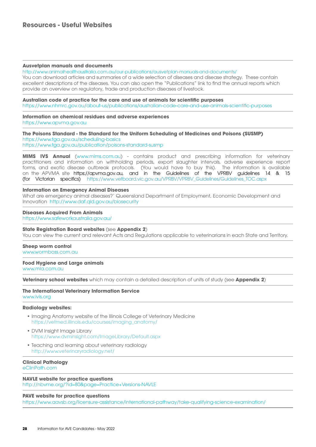#### **Ausvetplan manuals and documents**

[http://www.animalhealthaustralia.com.au/our-publications/ausvetplan-manuals-and-documents/](http://www.animalhealthaustralia.com.au/our-publications/ausvetplan-manuals-and-documents/ ) You can download articles and summaries of a wide selection of diseases and disease strategy. These contain excellent descriptions of the diseases. You can also open the "Publications" link to find the annual reports which provide an overview on regulatory, trade and production diseases of livestock.

**Australian code of practice for the care and use of animals for scientific purposes** [https://www.nhmrc.gov.au/a](https://www.nhmrc.gov.au/about-us/publications/australian-code-care-and-use-animals-scientific-purposes)bout-us/publications/australian-code-care-and-use-animals-scientific-purposes

**Information on chemical residues and adverse experiences** <https://www.apvma.gov.au>

**The Poisons Standard - the Standard for the Uniform Scheduling of Medicines and Poisons (SUSMP)** [https://www.tga.gov.au/scheduling-basics](https://www.tga.gov.au/scheduling-basics )

<https://www.tga.gov.au/publication/poisons-standard-susmp>

**MIMS IVS Annual** ([www.mims.com.au\)](http://www.mims.com.au) - contains product and prescribing information for veterinary practitioners and information on withholding periods, export slaughter intervals, adverse experience report forms, and exotic disease outbreak protocols. (You would have to buy this). The information is available on the APVMA site [https://apvma.gov.au,](https://apvma.gov.au) and in the Guidelines of the VPRBV guidelines 14 & 15 (for Victorian specifics) [https://www.vetboard.vic.gov.au/VPRBV/VPRBV\\_Guidelines/Guidelines\\_TOC.aspx](https://www.vetboard.vic.gov.au/VPRBV/VPRBV_Guidelines/Guidelines_TOC.aspx) 

#### **Information on Emergency Animal Diseases**

What are emergency animal diseases?' Queensland Department of Employment, Economic Development and Innovation <http://www.daf.qld.gov.au/biosecurity>

#### **Diseases Acquired From Animals**

<https://www.safeworkaustralia.gov.au/>

#### **State Registration Board websites** (see **Appendix 2**)

You can view the current and relevant Acts and Regulations applicable to veterinarians in each State and Territory.

#### **Sheep worm control**

[www.wormboss.com.au](http://www.wormboss.com.au)

#### **Food Hygiene and Large animals**

[www.mla.com.au](http://www.mla.com.au)

**Veterinary school websites** which may contain a detailed description of units of study (see **Appendix 2**)

#### **The International Veterinary Information Service** [www.ivis.org](http://www.ivis.org)

#### **Radiology websites:**

- Imaging Anatomy website of the Illinois College of Veterinary Medicine [https://vetmed.illinois.edu/courses/imaging\\_anatomy/](https://vetmed.illinois.edu/courses/imaging_anatomy/)
- DVM Insight Image Library <https://www.dvminsight.com/ImageLibrary/Default.aspx>
- Teaching and learning about veterinary radiology <http://www.veterinaryradiology.net/>

## **Clinical Pathology**

[eClinPath.com](http://eClinPath.com)

#### **NAVLE website for practice questions**

<http://nbvme.org/?id=80&page=Practice+Versions-NAVLE>

#### **PAVE website for practice questions**

<https://www.aavsb.org/licensure-assistance/international-pathway/take-qualifying-science-examination/>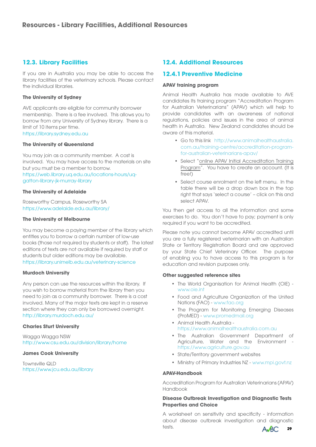## **12.3. Library Facilities**

If you are in Australia you may be able to access the library facilities of the veterinary schools. Please contact the individual libraries.

#### **The University of Sydney**

AVE applicants are eligible for community borrower membership. There is a fee involved. This allows you to borrow from any University of Sydney library. There is a limit of 10 items per time. <https://library.sydney.edu.au>

#### **The University of Queensland**

You may join as a community member. A cost is involved. You may have access to the materials on site but you must be a member to borrow. [https://web.library.uq.edu.au/locations-hours/uq](https://web.library.uq.edu.au/locations-hours/uq-gatton-library-jk-murray-library)[gatton-library-jk-murray-library](https://web.library.uq.edu.au/locations-hours/uq-gatton-library-jk-murray-library)

#### **The University of Adelaide**

Roseworthy Campus, Roseworthy SA <https://www.adelaide.edu.au/library/>

#### **The University of Melbourne**

You may become a paying member of the library which entitles you to borrow a certain number of low-use books (those not required by students or staff). The latest editions of texts are not available if required by staff or students but older editions may be available. <https://library.unimelb.edu.au/veterinary-science>

#### **Murdoch University**

Any person can use the resources within the library. If you wish to borrow material from the library then you need to join as a community borrower. There is a cost involved. Many of the major texts are kept in a reserve section where they can only be borrowed overnight. <http://library.murdoch.edu.au/>

#### **Charles Sturt University**

Wagga Wagga NSW <http://www.csu.edu.au/division/library/home>

#### **James Cook University**

Townsville QLD <https://www.jcu.edu.au/library>

## **12.4. Additional Resources**

## **12.4.1 Preventive Medicine**

#### **APAV training program**

Animal Health Australia has made available to AVE candidates Its training program "Accreditation Program for Australian Veterinarians" (APAV) which will help to provide candidates with an awareness of national regulations, policies and issues in the area of animal health in Australia. New Zealand candidates should be aware of this material.

- Go to this link [http://www.animalhealthaustralia.](http://www.animalhealthaustralia.com.au/training-centre/accreditation-program-for-australian-veterinarians-apav/) [com.au/training-centre/accreditation-program](http://www.animalhealthaustralia.com.au/training-centre/accreditation-program-for-australian-veterinarians-apav/)[for-australian-veterinarians-apav/](http://www.animalhealthaustralia.com.au/training-centre/accreditation-program-for-australian-veterinarians-apav/)
- Select "online APAV Initial Accreditation Training Program". You have to create an account. (It is free!)
- Select course enrolment on the left menu. In the table there will be a drop down box in the top right that says 'select a course' – click on this and select APAV.

You then get access to all the information and some exercises to do. You don't have to pay; payment is only required if you want to be accredited.

Please note you cannot become APAV accredited until you are a fully registered veterinarian with an Australian State or Territory Registration Board and are approved by your State Chief Veterinary Officer. The purpose of enabling you to have access to this program is for education and revision purposes only.

#### **Other suggested reference sites**

- The World Organisation for Animal Health (OIE) [www.oie.int](https://www.oie.int)
- Food and Agriculture Organization of the United Nations (FAO) - [www.fao.org](http://www.fao.org)
- The Program for Monitoring Emerging Diseases (ProMED) - [www.promedmail.org](http://www.promedmail.org)
- Animal Health Australia https://w[ww.animalhealthaustralia.com.au](https://www.animalhealthaustralia.com.au)
- The Australian Government Department of Agriculture, Water and the Environment <https://www.agriculture.gov.au>
- State/Territory government websites
- Ministry of Primary Industries NZ - [www.mpi.govt.nz](http://www.mpi.govt.nz)

#### **APAV-Handbook**

Accreditation Program for Australian Veterinarians (APAV) Handbook

#### **Disease Outbreak Investigation and Diagnostic Tests Properties and Choice**

A worksheet on sensitivity and specificity - information about disease outbreak investigation and diagnostic tests.

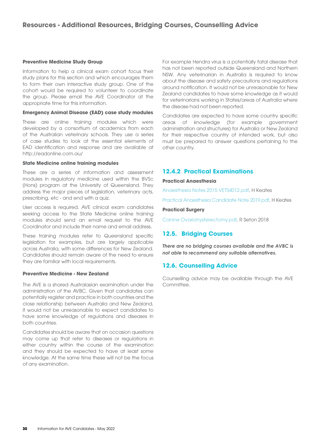#### **Preventive Medicine Study Group**

Information to help a clinical exam cohort focus their study plans for this section and which encourages them to form their own interactive study group. One of the cohort would be required to volunteer to coordinate the group. Please email the AVE Coordinator at the appropriate time for this information.

#### **Emergency Animal Disease (EAD) case study modules**

These are online training modules which were developed by a consortium of academics from each of the Australian veterinary schools. They use a series of case studies to look at the essential elements of EAD identification and response and are available at http://eadonline.com.au/

#### **State Medicine online training modules**

These are a series of information and assessment modules in regulatory medicine used within the BVSc (Hons) program at the University of Queensland. They address the major pieces of legislation, veterinary acts, prescribing, etc - and end with a quiz.

User access is required. AVE clinical exam candidates seeking access to the State Medicine online training modules should send an email request to the AVE Coordinator and include their name and email address.

These training modules refer to Queensland specific legislation for examples, but are largely applicable across Australia, with some differences for New Zealand. Candidates should remain aware of the need to ensure they are familiar with local requirements.

#### **Preventive Medicine - New Zealand**

The AVE is a shared Australasian examination under the administration of the AVBC. Given that candidates can potentially register and practice in both countries and the close relationship between Australia and New Zealand, it would not be unreasonable to expect candidates to have some knowledge of regulations and diseases in both countries.

Candidates should be aware that on occasion questions may come up that refer to diseases or regulations in either country within the course of the examination and they should be expected to have at least some knowledge. At the same time these will not be the focus of any examination.

For example Hendra virus is a potentially fatal disease that has not been reported outside Queensland and Northern NSW. Any veterinarian in Australia is required to know about the disease and safety precautions and regulations around notification. It would not be unreasonable for New Zealand candidates to have some knowledge as it would for veterinarians working in States/areas of Australia where the disease had not been reported.

Candidates are expected to have some country specific areas of knowledge (for example government administration and structures) for Australia or New Zealand for their respective country of intended work, but also must be prepared to answer questions pertaining to the other country.

## **12.4.2 Practical Examinations**

#### **Practical Anaesthesia**

[Anaesthesia Notes 2015 VETS4012.pdf,](https://avbc.asn.au/wp-content/uploads/2021/03/FINAL-Anaesthesia-Notes-2015-VETS4012-1.pdf) H Keates

[Practical Anaesthesia Candidate Note 2019.pdf,](https://avbc.asn.au/wp-content/uploads/2022/05/PracAnaesthCandidate-Note-2021.pdf) H Keates

#### **Practical Surgery**

[Canine Ovariohysterectomy.pdf,](https://avbc.asn.au/wp-content/uploads/2021/05/Dog-Spey-2018-upgrade-ppt-copy.pdf) [R Seton 2018](https://avbc.asn.au/wp-admin/post.php?post=4388&action=edit)

## **12.5. Bridging Courses**

*There are no bridging courses available and the AVBC is not able to recommend any suitable alternatives.*

## **12.6. Counselling Advice**

Counselling advice may be available through the AVE Committee.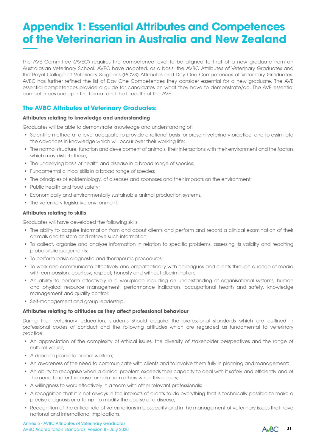## **Appendix 1: Essential Attributes and Competences of the Veterinarian in Australia and New Zealand**

The AVE Committee (AVEC) requires the competence level to be aligned to that of a new graduate from an Australasian Veterinary School. AVEC have adopted, as a basis, the AVBC Attributes of Veterinary Graduates and the Royal College of Veterinary Surgeons (RCVS) Attributes and Day One Competences of Veterinary Graduates. AVEC has further refined the list of Day One Competences they consider essential for a new graduate. The AVE essential competences provide a guide for candidates on what they have to demonstrate/do. The AVE essential competences underpin the format and the breadth of the AVE.

## **The AVBC Attributes of Veterinary Graduates:**

### **Attributes relating to knowledge and understanding**

Graduates will be able to demonstrate knowledge and understanding of:

- Scientific method at a level adequate to provide a rational basis for present veterinary practice, and to assimilate the advances in knowledge which will occur over their working life;
- The normal structure, function and development of animals, their interactions with their environment and the factors which may disturb these;
- The underlying basis of health and disease in a broad range of species;
- Fundamental clinical skills in a broad range of species;
- The principles of epidemiology, of diseases and zoonoses and their impacts on the environment;
- Public health and food safety;
- Economically and environmentally sustainable animal production systems;
- The veterinary legislative environment.

#### **Attributes relating to skills**

Graduates will have developed the following skills:

- The ability to acquire information from and about clients and perform and record a clinical examination of their animals and to store and retrieve such information;
- To collect, organise and analyse information in relation to specific problems, assessing its validity and reaching probabilistic judgements;
- To perform basic diagnostic and therapeutic procedures;
- To work and communicate effectively and empathetically with colleagues and clients through a range of media with compassion, courtesy, respect, honesty and without discrimination;
- An ability to perform effectively in a workplace including an understanding of organisational systems, human and physical resource management, performance indicators, occupational health and safety, knowledge management and quality control;
- Self-management and group leadership.

### **Attributes relating to attitudes as they affect professional behaviour**

During their veterinary education, students should acquire the professional standards which are outlined in professional codes of conduct and the following attitudes which are regarded as fundamental to veterinary practice:

- An appreciation of the complexity of ethical issues, the diversity of stakeholder perspectives and the range of cultural values;
- A desire to promote animal welfare;
- An awareness of the need to communicate with clients and to involve them fully in planning and management;
- An ability to recognise when a clinical problem exceeds their capacity to deal with it safely and efficiently and of the need to refer the case for help from others when this occurs;
- A willingness to work effectively in a team with other relevant professionals;
- A recognition that it is not always in the interests of clients to do everything that is technically possible to make a precise diagnosis or attempt to modify the course of a disease;
- Recognition of the critical role of veterinarians in biosecurity and in the management of veterinary issues that have national and international implications.

AVBC Accreditation Standards Version 8 - July 2020 Annex 5 - AVBC Attributes of Veterinary Graduates

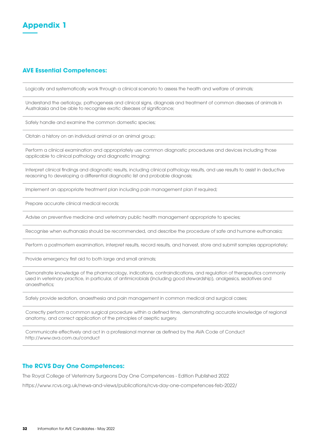

## **AVE Essential Competences:**

Logically and systematically work through a clinical scenario to assess the health and welfare of animals;

Understand the aetiology, pathogenesis and clinical signs, diagnosis and treatment of common diseases of animals in Australasia and be able to recognise exotic diseases of significance;

Safely handle and examine the common domestic species;

Obtain a history on an individual animal or an animal group;

Perform a clinical examination and appropriately use common diagnostic procedures and devices including those applicable to clinical pathology and diagnostic imaging;

Interpret clinical findings and diagnostic results, including clinical pathology results, and use results to assist in deductive reasoning to developing a differential diagnostic list and probable diagnosis;

Implement an appropriate treatment plan including pain management plan if required;

Prepare accurate clinical medical records;

Advise on preventive medicine and veterinary public health management appropriate to species;

Recognise when euthanasia should be recommended, and describe the procedure of safe and humane euthanasia;

Perform a postmortem examination, interpret results, record results, and harvest, store and submit samples appropriately;

Provide emergency first aid to both large and small animals;

Demonstrate knowledge of the pharmacology, indications, contraindications, and regulation of therapeutics commonly used in veterinary practice, in particular, of antimicrobials (including good stewardship), analgesics, sedatives and anaesthetics;

Safely provide sedation, anaesthesia and pain management in common medical and surgical cases;

Correctly perform a common surgical procedure within a defined time, demonstrating accurate knowledge of regional anatomy, and correct application of the principles of aseptic surgery.

Communicate effectively and act in a professional manner as defined by the AVA Code of Conduct <http://www.ava.com.au/conduct>

## **The RCVS Day One Competences:**

The Royal College of Veterinary Surgeons Day One Competences - Edition Published 2022

<https://www.rcvs.org.uk/news-and-views/publications/rcvs-day-one-competences-feb-2022/>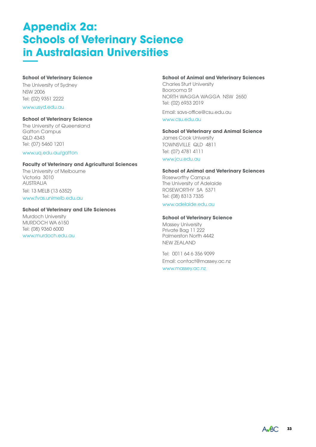## **Appendix 2a: Schools of Veterinary Science in Australasian Universities**

#### **School of Veterinary Science**

The University of Sydney NSW 2006 Tel: (02) 9351 2222

## [www.usyd.edu.au](http://www.usyd.edu.au)

## **School of Veterinary Science**

The University of Queensland Gatton Campus QLD 4343 Tel: (07) 5460 1201

#### [www.uq.edu.au/gatton](http://www.uq.edu.au/gatton)

#### **Faculty of Veterinary and Agricultural Sciences**

The University of Melbourne Victoria 3010 AUSTRALIA Tel: 13 MELB (13 6352) [www.fvas.unimelb.edu.au](http://www.fvas.unimelb.edu.au)

#### **School of Veterinary and Life Sciences**

Murdoch University MURDOCH WA 6150 Tel: (08) 9360 6000 [www.murdoch.edu.au](http://www.murdoch.edu.au)

#### **School of Animal and Veterinary Sciences**

Charles Sturt University Boorooma St NORTH WAGGA WAGGA NSW 2650 Tel: (02) 6933 2019

Email: savs-office@csu.edu.au

[www.csu.edu.au](http://www.csu.edu.au)

## **School of Veterinary and Animal Science**

James Cook University TOWNSVILLE QLD 4811 Tel: (07) 4781 4111 [www.jcu.edu.au](http://www.jcu.edu.au)

#### **School of Animal and Veterinary Sciences**

Roseworthy Campus The University of Adelaide ROSEWORTHY SA 5371 Tel: (08) 8313 7335

#### [www.adelaide.edu.au](http://www.adelaide.edu.au)

#### **School of Veterinary Science**

Massey University Private Bag 11 222 Palmerston North 4442 NEW ZEALAND

Tel: 0011 64 6 356 9099 Email: contact@massey.ac.nz

[www.massey.ac.nz](http://www.massey.ac.nz)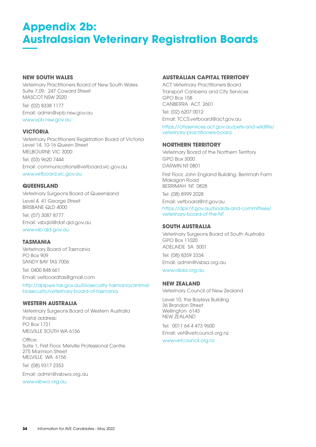## **Appendix 2b: Australasian Veterinary Registration Boards**

## **NEW SOUTH WALES**

Veterinary Practitioners Board of New South Wales Suite 7.09, 247 Coward Street MASCOT NSW 2020

Tel: (02) 8338 1177 Email: admin@vpb.nsw.gov.au [www.vpb.nsw.gov.au](http://www.vpb.nsw.gov.au)

## **VICTORIA**

Veterinary Practitioners Registration Board of Victoria Level 14, 10-16 Queen Street MELBOURNE VIC 3000 Tel: (03) 9620 7444 Email: communications@vetboard.vic.gov.au [www.vetboard.vic.gov.au](http://www.vetboard.vic.gov.au)

## **QUEENSLAND**

Veterinary Surgeons Board of Queensland Level 4, 41 George Street BRISBANE QLD 4000 Tel: (07) 3087 8777 Email: vsbqld@daf.qld.gov.au [www.vsb.qld.gov.au](http://www.vsb.qld.gov.au)

## **TASMANIA**

Veterinary Board of Tasmania PO Box 909 SANDY BAY TAS 7006

Tel: 0400 848 661 Email: vetboardtas@gmail.com

[http://dpipwe.tas.gov.au/biosecurity-tasmania/animal](http://dpipwe.tas.gov.au/biosecurity-tasmania/animal-biosecurity/veterinary-board-of-tasmania)[biosecurity/veterinary-board-of-tasmania](http://dpipwe.tas.gov.au/biosecurity-tasmania/animal-biosecurity/veterinary-board-of-tasmania)

## **WESTERN AUSTRALIA**

Veterinary Surgeons Board of Western Australia Postal address: PO Box 1721 MELVILLE SOUTH WA 6156

Office: Suite 1, First Floor, Melville Professional Centre 275 Marmion Street MELVILLE WA 6156

Tel: (08) 9317 2353

Email: admin@vsbwa.org.au

[www.vsbwa.org.au](http://www.vsbwa.org.au)

## **AUSTRALIAN CAPITAL TERRITORY**

ACT Veterinary Practitioners Board Transport Canberra and City Services GPO Box 158 CANBERRA ACT 2601

Tel: (02) 6207 0012 Email: TCCS.vetboard@act.gov.au

[https://cityservices.act.gov.au/pets-and-wildlife/](https://cityservices.act.gov.au/pets-and-wildlife/veterinary-practitioners-board) [veterinary-practitioners-board](https://cityservices.act.gov.au/pets-and-wildlife/veterinary-practitioners-board)

## **NORTHERN TERRITORY**

Veterinary Board of the Northern Territory GPO Box 3000 DARWIN NT 0801

First Floor, John England Building, Berrimah Farm Makagon Road BERRIMAH NT 0828 Tel: (08) 8999 2028

Email: vetboard@nt.gov.au

[https://dpir.nt.gov.au/boards-and-committees/](https://dpir.nt.gov.au/boards-and-committees/veterinary-board-of-the-NT) [veterinary-board-of-the-NT](https://dpir.nt.gov.au/boards-and-committees/veterinary-board-of-the-NT)

## **SOUTH AUSTRALIA**

Veterinary Surgeons Board of South Australia GPO Box 11020 ADELAIDE SA 5001 Tel: (08) 8359 3334 Email: admin@vsbsa.org.au

[www.vsbsa.org.au](http://www.vsbsa.org.au)

### **NEW ZEALAND**

Veterinary Council of New Zealand

Level 10, the Bayleys Building 36 Brandon Street Wellington 6143 NEW ZEALAND

Tel: 0011 64 4 473 9600 Email: vet@vetcouncil.org.nz

[www.vetcouncil.org.nz](http://www.vetcouncil.org.nz)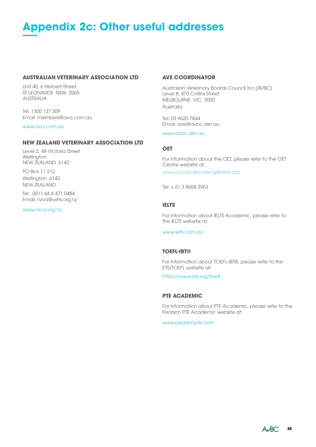## **Appendix 2c: Other useful addresses**

#### **AUSTRALIAN VETERINARY ASSOCIATION LTD**

Unit 40, 6 Herbert Street ST LEONARDS NSW 2065 AUSTRALIA

Tel: 1300 137 309 Email: members@ava.com.au

[www.ava.com.au](http://www.ava.com.au)

### **NEW ZEALAND VETERINARY ASSOCIATION LTD**

Level 2, 44 Victoria Street **Wellington** NEW ZEALAND 6142

PO Box 11 212 Wellington 6142 NEW ZEALAND

Tel: 0011 64 4 471 0484 Email: nzva@vets.org.nz

#### [www.nzva.org.nz](http://www.nzva.org.nz)

#### **AVE COORDINATOR**

Australian Veterinary Boards Council Inc (AVBC) Level 8, 470 Collins Street MELBOURNE VIC 3000 Australia

Tel: 03 9620 7844 Email: ave@avbc.asn.au

[www.avbc.asn.au](http://www.avbc.asn.au)

#### **OET**

For information about the OET, please refer to the OET Centre website at: [www.occupationalenglishtest.org](http://www.occupationalenglishtest.org)

Tel: + 61 3 8658 3963

#### **IELTS**

For information about IELTS Academic, please refer to the IFLTS website at:

[www.ielts.com.au](http://www.ielts.com.au)

#### **TOEFL-IBT®**

For information about TOEFL-iBT®, please refer to the ETS/TOEFL website at:

https://[www.ets.org/toe](https://www.ets.org/toefl)fl

### **PTE ACADEMIC**

For information about PTE Academic, please refer to the Pearson PTE Academic website at:

[www.pearsonpte.com](http://www.pearsonpte.com)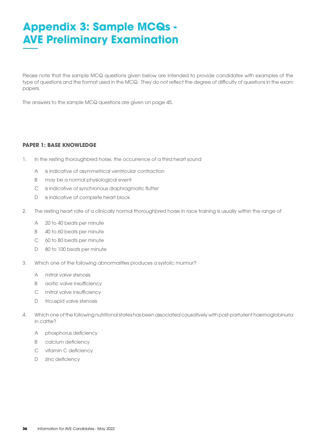## **Appendix 3: Sample MCQs - AVE Preliminary Examination**

Please note that the sample MCQ questions given below are intended to provide candidates with examples of the type of questions and the format used in the MCQ. They do not reflect the degree of difficulty of questions in the exam papers.

The answers to the sample MCQ questions are given on page 45.

### **PAPER 1: BASE KNOWLEDGE**

- 1. In the resting thoroughbred horse, the occurrence of a third heart sound
	- A is indicative of asymmetrical ventricular contraction
	- B may be a normal physiological event
	- C is indicative of synchronous diaphragmatic flutter
	- D is indicative of complete heart block
- 2. The resting heart rate of a clinically normal thoroughbred horse in race training is usually within the range of
	- A 20 to 40 beats per minute
	- B 40 to 60 beats per minute
	- C 60 to 80 beats per minute
	- D 80 to 100 beats per minute
- 3. Which one of the following abnormalities produces a systolic murmur?
	- A mitral valve stenosis
	- B aortic valve insufficiency
	- C mitral valve insufficiency
	- D tricuspid valve stenosis
- 4. Which one of the following nutritional states has been associated causatively with post-parturient haemoglobinuria in cattle?
	- A phosphorus deficiency
	- B calcium deficiency
	- C vitamin C deficiency
	- D zinc deficiency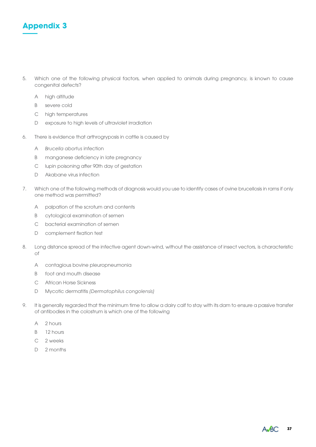

- 5. Which one of the following physical factors, when applied to animals during pregnancy, is known to cause congenital defects?
	- A high altitude
	- B severe cold
	- C high temperatures
	- D exposure to high levels of ultraviolet irradiation
- 6. There is evidence that arthrogryposis in cattle is caused by
	- A *Brucella abortus* infection
	- B manganese deficiency in late pregnancy
	- C lupin poisoning after 90th day of gestation
	- D Akabane virus infection
- 7. Which one of the following methods of diagnosis would you use to identify cases of ovine brucellosis in rams if only one method was permitted?
	- A palpation of the scrotum and contents
	- B cytological examination of semen
	- C bacterial examination of semen
	- D complement fixation test
- 8. Long distance spread of the infective agent down-wind, without the assistance of insect vectors, is characteristic of
	- A contagious bovine pleuropneumonia
	- B foot and mouth disease
	- C African Horse Sickness
	- D Mycotic dermatitis *(Dermatophilus congolensis)*
- 9. It is generally regarded that the minimum time to allow a dairy calf to stay with its dam to ensure a passive transfer of antibodies in the colostrum is which one of the following
	- A 2 hours
	- B 12 hours
	- C 2 weeks
	- D 2 months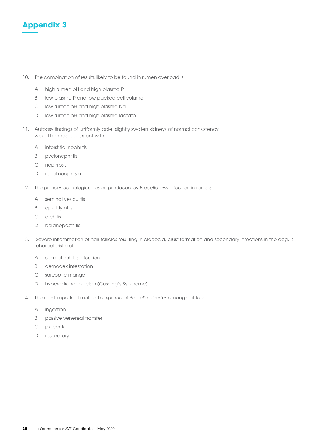

- 10. The combination of results likely to be found in rumen overload is
	- A high rumen pH and high plasma P
	- B low plasma P and low packed cell volume
	- C low rumen pH and high plasma Na
	- D low rumen pH and high plasma lactate
- 11. Autopsy findings of uniformly pale, slightly swollen kidneys of normal consistency would be most consistent with
	- A interstitial nephritis
	- B pyelonephritis
	- C nephrosis
	- D renal neoplasm
- 12. The primary pathological lesion produced by *Brucella ovis* infection in rams is
	- A seminal vesiculitis
	- B epididymitis
	- C orchitis
	- D balanoposthitis
- 13. Severe inflammation of hair follicles resulting in alopecia, crust formation and secondary infections in the dog, is characteristic of
	- A dermatophilus infection
	- B demodex infestation
	- C sarcoptic mange
	- D hyperadrenocorticism (Cushing's Syndrome)
- 14. The most important method of spread of *Brucella abortus* among cattle is
	- A ingestion
	- B passive venereal transfer
	- C placental
	- D respiratory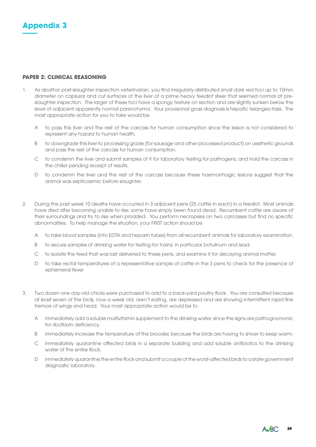

#### **PAPER 2: CLINICAL REASONING**

- 1. As abattoir post-slaughter inspection veterinarian, you find irregularly-distributed small dark red foci up to 10mm diameter on capsular and cut surfaces of the liver of a prime heavy feedlot steer that seemed normal at preslaughter inspection. The larger of these foci have a spongy texture on section and are slightly sunken below the level of adjacent apparently normal parenchyma. Your provisional gross diagnosis is hepatic telangiectasis. The most appropriate action for you to take would be
	- A to pass this liver and the rest of the carcass for human consumption since the lesion is not considered to represent any hazard to human health.
	- B to downgrade this liver to processing grade (for sausage and other processed product) on aesthetic grounds and pass the rest of the carcass for human consumption.
	- C to condemn the liver and submit samples of it for laboratory testing for pathogens, and hold the carcass in the chiller pending receipt of results.
	- D to condemn the liver and the rest of the carcass because these haemorrhagic lesions suggest that the animal was septicaemic before slaughter.
- 2. During the past week 10 deaths have occurred in 3 adjacent pens (25 cattle in each) in a feedlot. Most animals have died after becoming unable to rise; some have simply been found dead. Recumbent cattle are aware of their surroundings and try to rise when prodded. You perform necropsies on two carcasses but find no specific abnormalities. To help manage the situation, your FIRST action should be
	- A to take blood samples (into EDTA and heparin tubes) from all recumbent animals for laboratory examination.
	- B to secure samples of drinking water for testing for toxins; in particular botulinum and lead.
	- C to isolate the feed that was last delivered to these pens, and examine it for decaying animal matter.
	- D to take rectal temperatures of a representative sample of cattle in the 3 pens to check for the presence of ephemeral fever
- 3. Two dozen one day-old chicks were purchased to add to a back-yard poultry flock. You are consulted because at least seven of the birds, now a week old, aren't eating, are depressed and are showing intermittent rapid fine tremors of wings and head. Your most appropriate action would be to
	- A immediately add a soluble multivitamin supplement to the drinking water, since the signs are pathognomonic for riboflavin deficiency.
	- B immediately increase the temperature of the brooder, because the birds are having to shiver to keep warm.
	- C immediately quarantine affected birds in a separate building and add soluble antibiotics to the drinking water of the entire flock.
	- D immediately quarantine the entire flock and submit a couple of the worst-affected birds to a state government diagnostic laboratory.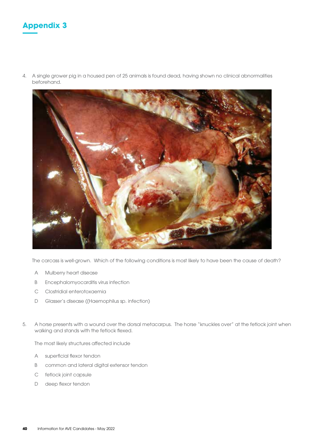

4. A single grower pig in a housed pen of 25 animals is found dead, having shown no clinical abnormalities beforehand.



The carcass is well-grown. Which of the following conditions is most likely to have been the cause of death?

- A Mulberry heart disease
- B Encephalomyocarditis virus infection
- C Clostridial enterotoxaemia
- D Glasser's disease ((Haemophilus sp. infection)
- 5. A horse presents with a wound over the dorsal metacarpus. The horse "knuckles over" at the fetlock joint when walking and stands with the fetlock flexed.

The most likely structures affected include

- A superficial flexor tendon
- B common and lateral digital extensor tendon
- C fetlock joint capsule
- D deep flexor tendon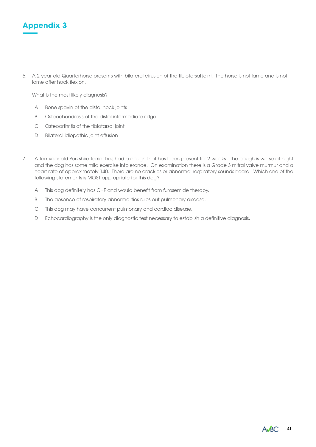

6. A 2-year-old Quarterhorse presents with bilateral effusion of the tibiotarsal joint. The horse is not lame and is not lame after hock flexion.

What is the most likely diagnosis?

- A Bone spavin of the distal hock joints
- B Osteochondrosis of the distal intermediate ridge
- C Osteoarthritis of the tibiotarsal joint
- D Bilateral idiopathic joint effusion
- 7. A ten-year-old Yorkshire terrier has had a cough that has been present for 2 weeks. The cough is worse at night and the dog has some mild exercise intolerance. On examination there is a Grade 3 mitral valve murmur and a heart rate of approximately 140. There are no crackles or abnormal respiratory sounds heard. Which one of the following statements is MOST appropriate for this dog?
	- A This dog definitely has CHF and would benefit from furosemide therapy.
	- B The absence of respiratory abnormalities rules out pulmonary disease.
	- C This dog may have concurrent pulmonary and cardiac disease.
	- D Echocardiography is the only diagnostic test necessary to establish a definitive diagnosis.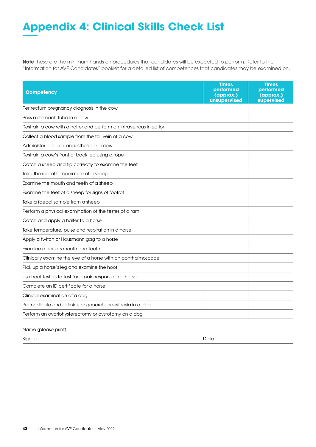## **Appendix 4: Clinical Skills Check List**

**Note** these are the minimum hands on procedures that candidates will be expected to perform. Refer to the "Information for AVE Candidates" booklet for a detailed list of competences that candidates may be examined on.

| <b>Competency</b>                                                 | <b>Times</b><br>performed<br>(approx.)<br>unsupervised | <b>Times</b><br>performed<br>(approx.)<br>supervised |
|-------------------------------------------------------------------|--------------------------------------------------------|------------------------------------------------------|
| Per rectum pregnancy diagnosis in the cow                         |                                                        |                                                      |
| Pass a stomach tube in a cow                                      |                                                        |                                                      |
| Restrain a cow with a halter and perform an intravenous injection |                                                        |                                                      |
| Collect a blood sample from the tail vein of a cow                |                                                        |                                                      |
| Administer epidural anaesthesia in a cow                          |                                                        |                                                      |
| Restrain a cow's front or back leg using a rope                   |                                                        |                                                      |
| Catch a sheep and tip correctly to examine the feet               |                                                        |                                                      |
| Take the rectal temperature of a sheep                            |                                                        |                                                      |
| Examine the mouth and teeth of a sheep                            |                                                        |                                                      |
| Examine the feet of a sheep for signs of footrot                  |                                                        |                                                      |
| Take a faecal sample from a sheep                                 |                                                        |                                                      |
| Perform a physical examination of the testes of a ram             |                                                        |                                                      |
| Catch and apply a halter to a horse                               |                                                        |                                                      |
| Take temperature, pulse and respiration in a horse                |                                                        |                                                      |
| Apply a twitch or Hausmann gag to a horse                         |                                                        |                                                      |
| Examine a horse's mouth and teeth                                 |                                                        |                                                      |
| Clinically examine the eye of a horse with an ophthalmoscope      |                                                        |                                                      |
| Pick up a horse's leg and examine the hoof                        |                                                        |                                                      |
| Use hoof testers to test for a pain response in a horse           |                                                        |                                                      |
| Complete an ID certificate for a horse                            |                                                        |                                                      |
| Clinical examination of a dog                                     |                                                        |                                                      |
| Premedicate and administer general anaesthesia in a dog           |                                                        |                                                      |
| Perform an ovariohysterectomy or cystotomy on a dog               |                                                        |                                                      |

Name (please print)

Signed Date of the Contract of the Contract of the Contract of the Contract of the Date of the Date of the Date of the Date of the Date of the Date of the Date of the Date of the Date of the Date of the Date of the Date of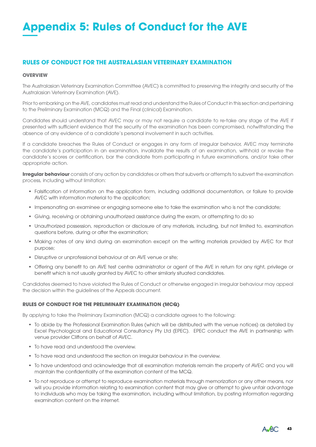## **Appendix 5: Rules of Conduct for the AVE**

## **RULES OF CONDUCT FOR THE AUSTRALASIAN VETERINARY EXAMINATION**

#### **OVERVIEW**

The Australasian Veterinary Examination Committee (AVEC) is committed to preserving the integrity and security of the Australasian Veterinary Examination (AVE).

Prior to embarking on the AVE, candidates must read and understand the Rules of Conduct in this section and pertaining to the Preliminary Examination (MCQ) and the Final (clinical) Examination.

Candidates should understand that AVEC may or may not require a candidate to re-take any stage of the AVE if presented with sufficient evidence that the security of the examination has been compromised, notwithstanding the absence of any evidence of a candidate's personal involvement in such activities.

If a candidate breaches the Rules of Conduct or engages in any form of irregular behavior, AVEC may terminate the candidate's participation in an examination, invalidate the results of an examination, withhold or revoke the candidate's scores or certification, bar the candidate from participating in future examinations, and/or take other appropriate action.

**Irregular behaviour** consists of any action by candidates or others that subverts or attempts to subvert the examination process, including without limitation:

- Falsification of information on the application form, including additional documentation, or failure to provide AVEC with information material to the application;
- Impersonating an examinee or engaging someone else to take the examination who is not the candidate;
- Giving, receiving or obtaining unauthorized assistance during the exam, or attempting to do so
- Unauthorized possession, reproduction or disclosure of any materials, including, but not limited to, examination questions before, during or after the examination;
- Making notes of any kind during an examination except on the writing materials provided by AVEC for that purpose;
- Disruptive or unprofessional behaviour at an AVE venue or site;
- Offering any benefit to an AVE test centre administrator or agent of the AVE in return for any right, privilege or benefit which is not usually granted by AVEC to other similarly situated candidates.

Candidates deemed to have violated the Rules of Conduct or otherwise engaged in irregular behaviour may appeal the decision within the guidelines of the Appeals document.

#### **RULES OF CONDUCT FOR THE PRELIMINARY EXAMINATION (MCQ)**

By applying to take the Preliminary Examination (MCQ) a candidate agrees to the following:

- To abide by the Professional Examination Rules (which will be distributed with the venue notices) as detailed by Excel Psychological and Educational Consultancy Pty Ltd (EPEC). EPEC conduct the AVE in partnership with venue provider Cliftons on behalf of AVEC.
- To have read and understood the overview.
- To have read and understood the section on irregular behaviour in the overview.
- To have understood and acknowledge that all examination materials remain the property of AVEC and you will maintain the confidentiality of the examination content of the MCQ.
- To not reproduce or attempt to reproduce examination materials through memorization or any other means, nor will you provide information relating to examination content that may give or attempt to give unfair advantage to individuals who may be taking the examination, including without limitation, by posting information regarding examination content on the internet.

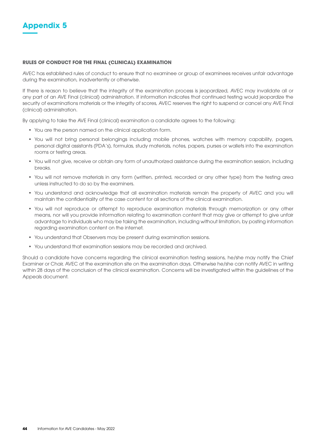

#### **RULES OF CONDUCT FOR THE FINAL (CLINICAL) EXAMINATION**

AVEC has established rules of conduct to ensure that no examinee or group of examinees receives unfair advantage during the examination, inadvertently or otherwise.

If there is reason to believe that the integrity of the examination process is jeopardized, AVEC may invalidate all or any part of an AVE Final (clinical) administration. If information indicates that continued testing would jeopardize the security of examinations materials or the integrity of scores, AVEC reserves the right to suspend or cancel any AVE Final (clinical) administration.

By applying to take the AVE Final (clinical) examination a candidate agrees to the following:

- You are the person named on the clinical application form.
- You will not bring personal belongings including mobile phones, watches with memory capability, pagers, personal digital assistants (PDA's), formulas, study materials, notes, papers, purses or wallets into the examination rooms or testing areas.
- You will not give, receive or obtain any form of unauthorized assistance during the examination session, including breaks.
- You will not remove materials in any form (written, printed, recorded or any other type) from the testing area unless instructed to do so by the examiners.
- You understand and acknowledge that all examination materials remain the property of AVEC and you will maintain the confidentiality of the case content for all sections of the clinical examination.
- You will not reproduce or attempt to reproduce examination materials through memorization or any other means, nor will you provide information relating to examination content that may give or attempt to give unfair advantage to individuals who may be taking the examination, including without limitation, by posting information regarding examination content on the internet.
- You understand that Observers may be present during examination sessions.
- You understand that examination sessions may be recorded and archived.

Should a candidate have concerns regarding the clinical examination testing sessions, he/she may notify the Chief Examiner or Chair, AVEC at the examination site on the examination days. Otherwise he/she can notify AVEC in writing within 28 days of the conclusion of the clinical examination. Concerns will be investigated within the guidelines of the Appeals document.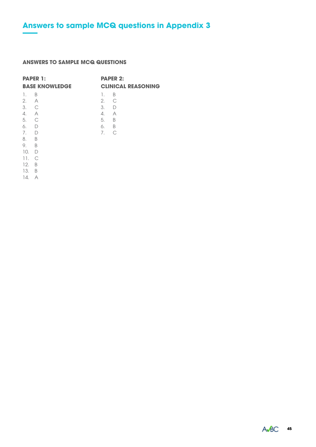## **ANSWERS TO SAMPLE MCQ QUESTIONS**

| <b>PAPER 1:</b><br><b>BASE KNOWLEDGE</b>                              |                                                      | <b>PAPER 2:</b><br><b>CLINICAL REASONING</b> |        |  |
|-----------------------------------------------------------------------|------------------------------------------------------|----------------------------------------------|--------|--|
| -1.<br>2.<br>3.<br>4.<br>5. C<br>6.                                   | B<br>A<br>$\overline{C}$<br>$\overline{A}$<br>$\Box$ | 1.<br>$2.$ C<br>3. D<br>4. A<br>5.<br>6. B   | B<br>B |  |
| 7.<br>8.<br>$\overline{B}$<br>9.<br>10.<br>11.<br>12.<br>13. B<br>14. | $\Box$<br>- B<br>D<br>C<br>B<br>А                    | 7.                                           | C      |  |